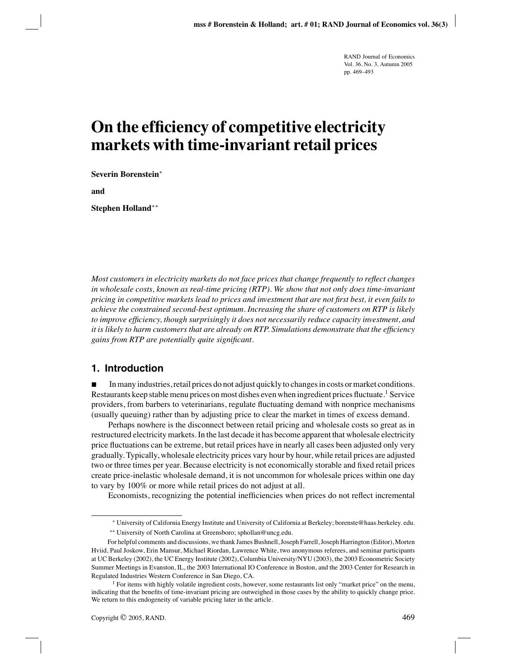# **On the efficiency of competitive electricity markets with time-invariant retail prices**

**Severin Borenstein**∗

**and**

**Stephen Holland**∗∗

*Most customers in electricity markets do not face prices that change frequently to reflect changes in wholesale costs, known as real-time pricing (RTP).We show that not only does time-invariant pricing in competitive markets lead to prices and investment that are not first best, it even fails to achieve the constrained second-best optimum.Increasing the share of customers on RTP is likely to improve efficiency, though surprisingly it does not necessarily reduce capacity investment, and it is likely to harm customers that are already on RTP.Simulations demonstrate that the efficiency gains from RTP are potentially quite significant.*

# **1. Introduction**

 In many industries, retail prices do not adjust quickly to changes in costs or market conditions. Restaurants keep stable menu prices on most dishes even when ingredient prices fluctuate.<sup>1</sup> Service providers, from barbers to veterinarians, regulate fluctuating demand with nonprice mechanisms (usually queuing) rather than by adjusting price to clear the market in times of excess demand.

Perhaps nowhere is the disconnect between retail pricing and wholesale costs so great as in restructured electricity markets. In the last decade it has become apparent that wholesale electricity price fluctuations can be extreme, but retail prices have in nearly all cases been adjusted only very gradually. Typically, wholesale electricity prices vary hour by hour, while retail prices are adjusted two or three times per year. Because electricity is not economically storable and fixed retail prices create price-inelastic wholesale demand, it is not uncommon for wholesale prices within one day to vary by 100% or more while retail prices do not adjust at all.

Economists, recognizing the potential inefficiencies when prices do not reflect incremental

<sup>∗</sup> University of California Energy Institute and University of California at Berkeley; borenste@haas.berkeley. edu.

<sup>∗∗</sup> University of North Carolina at Greensboro; sphollan@uncg.edu.

For helpful comments and discussions, we thank James Bushnell, Joseph Farrell, Joseph Harrington (Editor), Morten Hviid, Paul Joskow, Erin Mansur, Michael Riordan, Lawrence White, two anonymous referees, and seminar participants at UC Berkeley (2002), the UC Energy Institute (2002), Columbia University/NYU (2003), the 2003 Econometric Society Summer Meetings in Evanston, IL, the 2003 International IO Conference in Boston, and the 2003 Center for Research in Regulated Industries Western Conference in San Diego, CA.

<sup>&</sup>lt;sup>1</sup> For items with highly volatile ingredient costs, however, some restaurants list only "market price" on the menu, indicating that the benefits of time-invariant pricing are outweighed in those cases by the ability to quickly change price. We return to this endogeneity of variable pricing later in the article.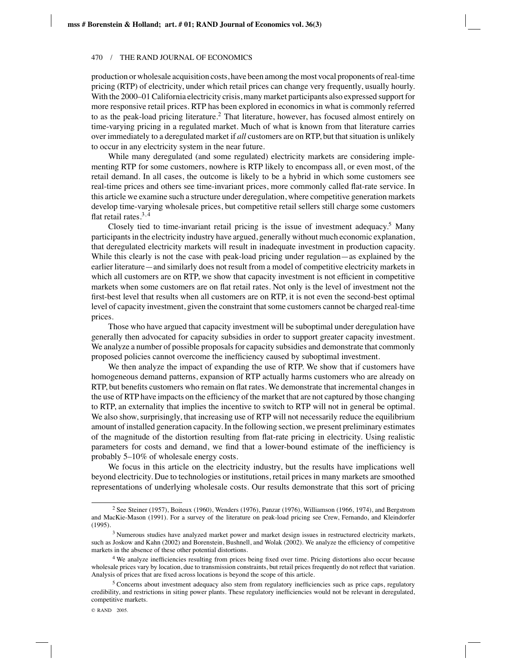#### 470 / THE RAND JOURNAL OF ECONOMICS

production or wholesale acquisition costs, have been among the most vocal proponents of real-time pricing (RTP) of electricity, under which retail prices can change very frequently, usually hourly. With the 2000–01 California electricity crisis, many market participants also expressed support for more responsive retail prices. RTP has been explored in economics in what is commonly referred to as the peak-load pricing literature.<sup>2</sup> That literature, however, has focused almost entirely on time-varying pricing in a regulated market. Much of what is known from that literature carries over immediately to a deregulated market if *all* customers are on RTP, but that situation is unlikely to occur in any electricity system in the near future.

While many deregulated (and some regulated) electricity markets are considering implementing RTP for some customers, nowhere is RTP likely to encompass all, or even most, of the retail demand. In all cases, the outcome is likely to be a hybrid in which some customers see real-time prices and others see time-invariant prices, more commonly called flat-rate service. In this article we examine such a structure under deregulation, where competitive generation markets develop time-varying wholesale prices, but competitive retail sellers still charge some customers flat retail rates. $3,4$ 

Closely tied to time-invariant retail pricing is the issue of investment adequacy.<sup>5</sup> Many participants in the electricity industry have argued, generally without much economic explanation, that deregulated electricity markets will result in inadequate investment in production capacity. While this clearly is not the case with peak-load pricing under regulation—as explained by the earlier literature—and similarly does not result from a model of competitive electricity markets in which all customers are on RTP, we show that capacity investment is not efficient in competitive markets when some customers are on flat retail rates. Not only is the level of investment not the first-best level that results when all customers are on RTP, it is not even the second-best optimal level of capacity investment, given the constraint that some customers cannot be charged real-time prices.

Those who have argued that capacity investment will be suboptimal under deregulation have generally then advocated for capacity subsidies in order to support greater capacity investment. We analyze a number of possible proposals for capacity subsidies and demonstrate that commonly proposed policies cannot overcome the inefficiency caused by suboptimal investment.

We then analyze the impact of expanding the use of RTP. We show that if customers have homogeneous demand patterns, expansion of RTP actually harms customers who are already on RTP, but benefits customers who remain on flat rates. We demonstrate that incremental changes in the use of RTP have impacts on the efficiency of the market that are not captured by those changing to RTP, an externality that implies the incentive to switch to RTP will not in general be optimal. We also show, surprisingly, that increasing use of RTP will not necessarily reduce the equilibrium amount of installed generation capacity. In the following section, we present preliminary estimates of the magnitude of the distortion resulting from flat-rate pricing in electricity. Using realistic parameters for costs and demand, we find that a lower-bound estimate of the inefficiency is probably 5–10% of wholesale energy costs.

We focus in this article on the electricity industry, but the results have implications well beyond electricity. Due to technologies or institutions, retail prices in many markets are smoothed representations of underlying wholesale costs. Our results demonstrate that this sort of pricing

<sup>&</sup>lt;sup>2</sup> See Steiner (1957), Boiteux (1960), Wenders (1976), Panzar (1976), Williamson (1966, 1974), and Bergstrom and MacKie-Mason (1991). For a survey of the literature on peak-load pricing see Crew, Fernando, and Kleindorfer (1995).

<sup>3</sup> Numerous studies have analyzed market power and market design issues in restructured electricity markets, such as Joskow and Kahn (2002) and Borenstein, Bushnell, and Wolak (2002). We analyze the efficiency of competitive markets in the absence of these other potential distortions.

<sup>4</sup> We analyze inefficiencies resulting from prices being fixed over time. Pricing distortions also occur because wholesale prices vary by location, due to transmission constraints, but retail prices frequently do not reflect that variation. Analysis of prices that are fixed across locations is beyond the scope of this article.

<sup>5</sup> Concerns about investment adequacy also stem from regulatory inefficiencies such as price caps, regulatory credibility, and restrictions in siting power plants. These regulatory inefficiencies would not be relevant in deregulated, competitive markets.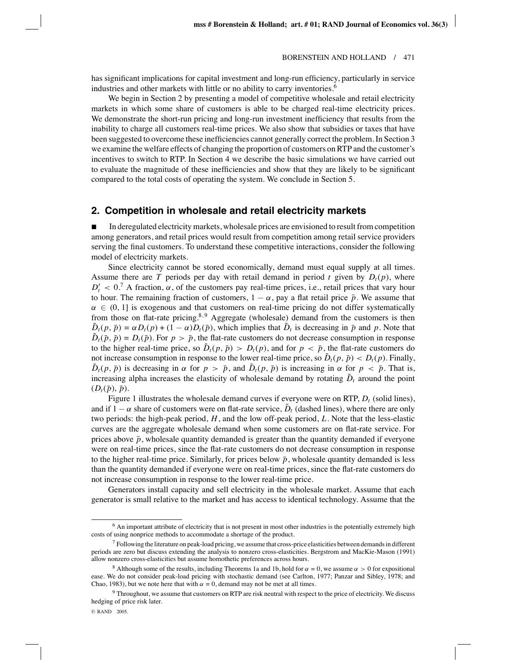has significant implications for capital investment and long-run efficiency, particularly in service industries and other markets with little or no ability to carry inventories.<sup>6</sup>

We begin in Section 2 by presenting a model of competitive wholesale and retail electricity markets in which some share of customers is able to be charged real-time electricity prices. We demonstrate the short-run pricing and long-run investment inefficiency that results from the inability to charge all customers real-time prices. We also show that subsidies or taxes that have been suggested to overcome these inefficiencies cannot generally correct the problem. In Section 3 we examine the welfare effects of changing the proportion of customers on RTP and the customer's incentives to switch to RTP. In Section 4 we describe the basic simulations we have carried out to evaluate the magnitude of these inefficiencies and show that they are likely to be significant compared to the total costs of operating the system. We conclude in Section 5.

## **2. Competition in wholesale and retail electricity markets**

 In deregulated electricity markets, wholesale prices are envisioned to result from competition among generators, and retail prices would result from competition among retail service providers serving the final customers. To understand these competitive interactions, consider the following model of electricity markets.

Since electricity cannot be stored economically, demand must equal supply at all times. Assume there are *T* periods per day with retail demand in period *t* given by  $D_t(p)$ , where  $D_t' < 0$ .<sup>7</sup> A fraction,  $\alpha$ , of the customers pay real-time prices, i.e., retail prices that vary hour to hour. The remaining fraction of customers,  $1 - \alpha$ , pay a flat retail price  $\bar{p}$ . We assume that  $\alpha \in (0, 1]$  is exogenous and that customers on real-time pricing do not differ systematically from those on flat-rate pricing.<sup>8,9</sup> Aggregate (wholesale) demand from the customers is then  $\tilde{D}_t(p, \bar{p}) = \alpha D_t(p) + (1 - \alpha)D_t(\bar{p})$ , which implies that  $\tilde{D}_t$  is decreasing in  $\bar{p}$  and *p*. Note that  $\tilde{D}_t(\bar{p}, \bar{p}) = D_t(\bar{p})$ . For  $p > \bar{p}$ , the flat-rate customers do not decrease consumption in response to the higher real-time price, so  $\bar{D}_t(p, \bar{p}) > D_t(p)$ , and for  $p < \bar{p}$ , the flat-rate customers do not increase consumption in response to the lower real-time price, so  $\tilde{D}_t(p, \bar{p}) < D_t(p)$ . Finally,  $D_t(p, \bar{p})$  is decreasing in  $\alpha$  for  $p > \bar{p}$ , and  $D_t(p, \bar{p})$  is increasing in  $\alpha$  for  $p < \bar{p}$ . That is, increasing alpha increases the elasticity of wholesale demand by rotating  $\tilde{D}_t$  around the point  $(D_t(\bar{p}), \bar{p}).$ 

Figure 1 illustrates the wholesale demand curves if everyone were on RTP,  $D_t$  (solid lines), and if  $1 - \alpha$  share of customers were on flat-rate service,  $\tilde{D}_t$  (dashed lines), where there are only two periods: the high-peak period, *H*, and the low off-peak period, *L*. Note that the less-elastic curves are the aggregate wholesale demand when some customers are on flat-rate service. For prices above  $\bar{p}$ , wholesale quantity demanded is greater than the quantity demanded if everyone were on real-time prices, since the flat-rate customers do not decrease consumption in response to the higher real-time price. Similarly, for prices below  $\bar{p}$ , wholesale quantity demanded is less than the quantity demanded if everyone were on real-time prices, since the flat-rate customers do not increase consumption in response to the lower real-time price.

Generators install capacity and sell electricity in the wholesale market. Assume that each generator is small relative to the market and has access to identical technology. Assume that the

<sup>6</sup> An important attribute of electricity that is not present in most other industries is the potentially extremely high costs of using nonprice methods to accommodate a shortage of the product.

 $^7$  Following the literature on peak-load pricing, we assume that cross-price elasticities between demands in different periods are zero but discuss extending the analysis to nonzero cross-elasticities. Bergstrom and MacKie-Mason (1991) allow nonzero cross-elasticities but assume homothetic preferences across hours.

<sup>&</sup>lt;sup>8</sup> Although some of the results, including Theorems 1a and 1b, hold for  $\alpha = 0$ , we assume  $\alpha > 0$  for expositional ease. We do not consider peak-load pricing with stochastic demand (see Carlton, 1977; Panzar and Sibley, 1978; and Chao, 1983), but we note here that with  $\alpha = 0$ , demand may not be met at all times.

 $9$  Throughout, we assume that customers on RTP are risk neutral with respect to the price of electricity. We discuss hedging of price risk later.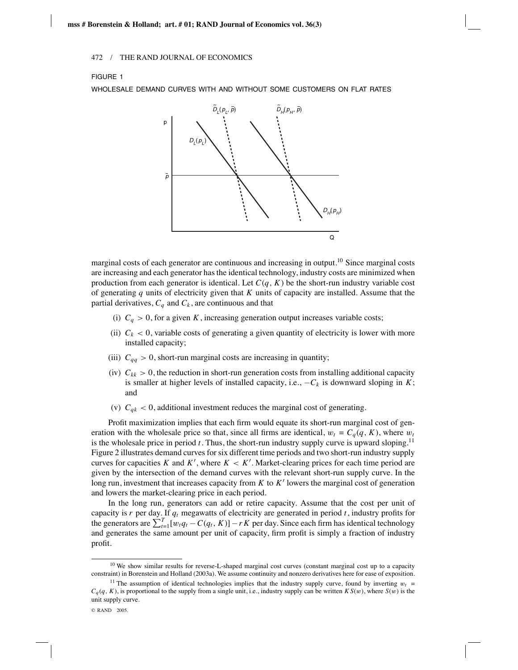## FIGURE 1

WHOLESALE DEMAND CURVES WITH AND WITHOUT SOME CUSTOMERS ON FLAT RATES



marginal costs of each generator are continuous and increasing in output.10 Since marginal costs are increasing and each generator has the identical technology, industry costs are minimized when production from each generator is identical. Let  $C(q, K)$  be the short-run industry variable cost of generating *q* units of electricity given that *K* units of capacity are installed. Assume that the partial derivatives,  $C_q$  and  $C_k$ , are continuous and that

- (i)  $C_q > 0$ , for a given *K*, increasing generation output increases variable costs;
- (ii)  $C_k$  < 0, variable costs of generating a given quantity of electricity is lower with more installed capacity;
- (iii)  $C_{qq} > 0$ , short-run marginal costs are increasing in quantity;
- (iv)  $C_{kk} > 0$ , the reduction in short-run generation costs from installing additional capacity is smaller at higher levels of installed capacity, i.e.,  $-C_k$  is downward sloping in *K*; and
- (v)  $C_{qk} < 0$ , additional investment reduces the marginal cost of generating.

Profit maximization implies that each firm would equate its short-run marginal cost of generation with the wholesale price so that, since all firms are identical,  $w_t = C_q(q, K)$ , where  $w_t$ is the wholesale price in period  $t$ . Thus, the short-run industry supply curve is upward sloping.<sup>11</sup> Figure 2 illustrates demand curves for six different time periods and two short-run industry supply curves for capacities *K* and  $K'$ , where  $K < K'$ . Market-clearing prices for each time period are given by the intersection of the demand curves with the relevant short-run supply curve. In the long run, investment that increases capacity from *K* to *K*<sup> $\prime$ </sup> lowers the marginal cost of generation and lowers the market-clearing price in each period.

In the long run, generators can add or retire capacity. Assume that the cost per unit of capacity is *r* per day. If *qt* megawatts of electricity are generated in period *t*, industry profits for the generators are  $\sum_{t=1}^{T} [w_t q_t - C(q_t, K)] - rK$  per day. Since each firm has identical technology and generates the same amount per unit of capacity, firm profit is simply a fraction of industry profit.

<sup>&</sup>lt;sup>10</sup> We show similar results for reverse-L-shaped marginal cost curves (constant marginal cost up to a capacity constraint) in Borenstein and Holland (2003a). We assume continuity and nonzero derivatives here for ease of exposition.

<sup>&</sup>lt;sup>11</sup> The assumption of identical technologies implies that the industry supply curve, found by inverting  $w_t =$  $C_q(q, K)$ , is proportional to the supply from a single unit, i.e., industry supply can be written  $KS(w)$ , where  $S(w)$  is the unit supply curve.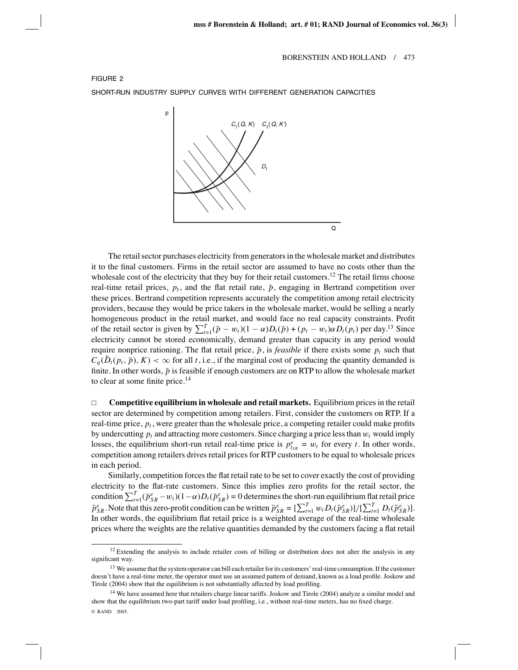



The retail sector purchases electricity from generators in the wholesale market and distributes it to the final customers. Firms in the retail sector are assumed to have no costs other than the wholesale cost of the electricity that they buy for their retail customers.<sup>12</sup> The retail firms choose real-time retail prices,  $p_t$ , and the flat retail rate,  $\bar{p}$ , engaging in Bertrand competition over these prices. Bertrand competition represents accurately the competition among retail electricity providers, because they would be price takers in the wholesale market, would be selling a nearly homogeneous product in the retail market, and would face no real capacity constraints. Profit of the retail sector is given by  $\sum_{t=1}^{T}(\bar{p}-w_t)(1-\alpha)D_t(\bar{p})+(p_t-w_t)\alpha D_t(p_t)$  per day.<sup>13</sup> Since electricity cannot be stored economically, demand greater than capacity in any period would require nonprice rationing. The flat retail price,  $\bar{p}$ , is *feasible* if there exists some  $p_t$  such that  $C_q(\tilde{D}_t(p_t, \bar{p}), K) < \infty$  for all *t*, i.e., if the marginal cost of producing the quantity demanded is finite. In other words,  $\bar{p}$  is feasible if enough customers are on RTP to allow the wholesale market to clear at some finite price.<sup>14</sup>

 $\Box$  **Competitive equilibrium in wholesale and retail markets.** Equilibrium prices in the retail sector are determined by competition among retailers. First, consider the customers on RTP. If a real-time price,  $p_t$ , were greater than the wholesale price, a competing retailer could make profits by undercutting  $p_t$  and attracting more customers. Since charging a price less than  $w_t$  would imply losses, the equilibrium short-run retail real-time price is  $p_{tsR}^e = w_t$  for every *t*. In other words, competition among retailers drives retail prices for RTP customers to be equal to wholesale prices in each period.

Similarly, competition forces the flat retail rate to be set to cover exactly the cost of providing electricity to the flat-rate customers. Since this implies zero profits for the retail sector, the condition  $\sum_{t=1}^{T}(\bar{p}_{SR}^e-w_t)(1-\alpha)D_t(\bar{p}_{SR}^e)=0$  determines the short-run equilibrium flat retail price  $\bar{p}_{SR}^e$ . Note that this zero-profit condition can be written  $\bar{p}_{SR}^e = [\sum_{t=1}^T w_t D_t (\bar{p}_{SR}^e)]/[\sum_{t=1}^T D_t (\bar{p}_{SR}^e)]$ . In other words, the equilibrium flat retail price is a weighted average of the real-time wholesale prices where the weights are the relative quantities demanded by the customers facing a flat retail

 $12$  Extending the analysis to include retailer costs of billing or distribution does not alter the analysis in any significant way.

 $13$  We assume that the system operator can bill each retailer for its customers' real-time consumption. If the customer doesn't have a real-time meter, the operator must use an assumed pattern of demand, known as a load profile. Joskow and Tirole (2004) show that the equilibrium is not substantially affected by load profiling.

<sup>&</sup>lt;sup>14</sup> We have assumed here that retailers charge linear tariffs. Joskow and Tirole (2004) analyze a similar model and show that the equilibrium two-part tariff under load profiling, i.e., without real-time meters, has no fixed charge. © RAND 2005.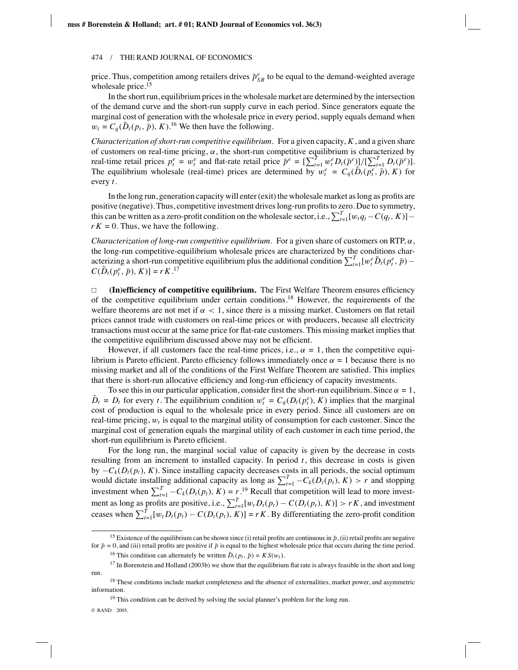price. Thus, competition among retailers drives  $\bar{p}_{SR}^e$  to be equal to the demand-weighted average wholesale price.<sup>15</sup>

In the short run, equilibrium prices in the wholesale market are determined by the intersection of the demand curve and the short-run supply curve in each period. Since generators equate the marginal cost of generation with the wholesale price in every period, supply equals demand when  $w_t = C_q(\tilde{D}_t(p_t, \bar{p}), K)$ .<sup>16</sup> We then have the following.

*Characterization of short-run competitive equilibrium*. For a given capacity, *K*, and a given share of customers on real-time pricing,  $\alpha$ , the short-run competitive equilibrium is characterized by real-time retail prices  $p_t^e = w_t^e$  and flat-rate retail price  $\bar{p}^e = [\sum_{t=1}^T w_t^e D_t(\bar{p}^e)]/[\sum_{t=1}^T D_t(\bar{p}^e)].$ The equilibrium wholesale (real-time) prices are determined by  $w_t^e = C_q(\tilde{D}_t(p_t^e, \bar{p}), K)$  for every *t*.

In the long run, generation capacity will enter (exit) the wholesale market as long as profits are positive (negative). Thus, competitive investment drives long-run profits to zero. Due to symmetry, this can be written as a zero-profit condition on the wholesale sector, i.e.,  $\sum_{t=1}^{T} [w_t q_t - C(q_t, K)]$  $r K = 0$ . Thus, we have the following.

*Characterization of long-run competitive equilibrium.* For a given share of customers on RTP,  $\alpha$ , the long-run competitive-equilibrium wholesale prices are characterized by the conditions characterizing a short-run competitive equilibrium plus the additional condition  $\sum_{t=1}^{T} [w_t^e \tilde{D}_t(p_t^e, \bar{p}) C(\tilde{D}_t(p_t^e, \bar{p}), K)] = rK$ .<sup>17</sup>

 $\Box$  **(In)efficiency of competitive equilibrium.** The First Welfare Theorem ensures efficiency of the competitive equilibrium under certain conditions.18 However, the requirements of the welfare theorems are not met if  $\alpha < 1$ , since there is a missing market. Customers on flat retail prices cannot trade with customers on real-time prices or with producers, because all electricity transactions must occur at the same price for flat-rate customers. This missing market implies that the competitive equilibrium discussed above may not be efficient.

However, if all customers face the real-time prices, i.e.,  $\alpha = 1$ , then the competitive equilibrium is Pareto efficient. Pareto efficiency follows immediately once  $\alpha = 1$  because there is no missing market and all of the conditions of the First Welfare Theorem are satisfied. This implies that there is short-run allocative efficiency and long-run efficiency of capacity investments.

To see this in our particular application, consider first the short-run equilibrium. Since  $\alpha = 1$ ,  $\tilde{D}_t = D_t$  for every *t*. The equilibrium condition  $w_t^e = C_q(D_t(p_t^e), K)$  implies that the marginal cost of production is equal to the wholesale price in every period. Since all customers are on real-time pricing, w*<sup>t</sup>* is equal to the marginal utility of consumption for each customer. Since the marginal cost of generation equals the marginal utility of each customer in each time period, the short-run equilibrium is Pareto efficient.

For the long run, the marginal social value of capacity is given by the decrease in costs resulting from an increment to installed capacity. In period *t*, this decrease in costs is given by  $-C_k(D_t(p_t), K)$ . Since installing capacity decreases costs in all periods, the social optimum would dictate installing additional capacity as long as  $\sum_{t=1}^{T} -C_k(D_t(p_t), K) > r$  and stopping investment when  $\sum_{t=1}^{T} -C_k(D_t(p_t), K) = r^{19}$  Recall that competition will lead to more investment as long as profits are positive, i.e.,  $\sum_{t=1}^{T} [w_t D_t(p_t) - C(D_t(p_t), K)] > rK$ , and investment ceases when  $\sum_{t=1}^{T} [w_t D_t (p_t) - C(D_t (p_t), K)] = rK$ . By differentiating the zero-profit condition

<sup>&</sup>lt;sup>15</sup> Existence of the equilibrium can be shown since (i) retail profits are continuous in  $\bar{p}$ , (ii) retail profits are negative for  $\bar{p} = 0$ , and (iii) retail profits are positive if  $\bar{p}$  is equal to the highest wholesale price that occurs during the time period.

<sup>&</sup>lt;sup>16</sup> This condition can alternately be written  $\tilde{D}_t(p_t, \bar{p}) = K S(w_t)$ .

 $17$  In Borenstein and Holland (2003b) we show that the equilibrium flat rate is always feasible in the short and long run.

<sup>&</sup>lt;sup>18</sup> These conditions include market completeness and the absence of externalities, market power, and asymmetric information.

 $19$  This condition can be derived by solving the social planner's problem for the long run.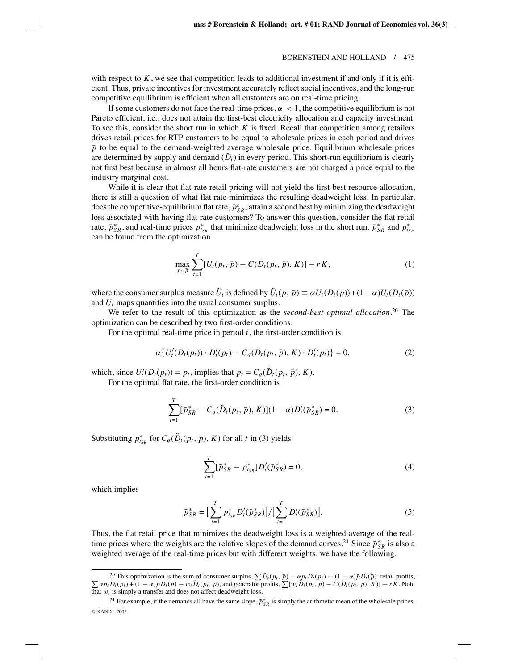with respect to  $K$ , we see that competition leads to additional investment if and only if it is efficient. Thus, private incentives for investment accurately reflect social incentives, and the long-run competitive equilibrium is efficient when all customers are on real-time pricing.

If some customers do not face the real-time prices,  $\alpha < 1$ , the competitive equilibrium is not Pareto efficient, i.e., does not attain the first-best electricity allocation and capacity investment. To see this, consider the short run in which *K* is fixed. Recall that competition among retailers drives retail prices for RTP customers to be equal to wholesale prices in each period and drives  $\bar{p}$  to be equal to the demand-weighted average wholesale price. Equilibrium wholesale prices are determined by supply and demand  $(D_t)$  in every period. This short-run equilibrium is clearly not first best because in almost all hours flat-rate customers are not charged a price equal to the industry marginal cost.

While it is clear that flat-rate retail pricing will not yield the first-best resource allocation, there is still a question of what flat rate minimizes the resulting deadweight loss. In particular, does the competitive-equilibrium flat rate,  $\bar{p}_{SR}^e$ , attain a second best by minimizing the deadweight loss associated with having flat-rate customers? To answer this question, consider the flat retail rate,  $\bar{p}_{SR}^*$ , and real-time prices  $p_{t_{SR}}^*$  that minimize deadweight loss in the short run.  $\bar{p}_{SR}^*$  and  $p_{t_{SR}}^*$ can be found from the optimization

$$
\max_{p_t, \bar{p}} \sum_{t=1}^T [\tilde{U}_t(p_t, \bar{p}) - C(\tilde{D}_t(p_t, \bar{p}), K)] - rK, \tag{1}
$$

where the consumer surplus measure  $\tilde{U}_t$  is defined by  $\tilde{U}_t(p, \bar{p}) \equiv \alpha U_t(D_t(p)) + (1 - \alpha)U_t(D_t(\bar{p}))$ and *Ut* maps quantities into the usual consumer surplus.

We refer to the result of this optimization as the *second-best optimal allocation*. <sup>20</sup> The optimization can be described by two first-order conditions.

For the optimal real-time price in period *t*, the first-order condition is

$$
\alpha \{ U'_t(D_t(p_t)) \cdot D'_t(p_t) - C_q(\tilde{D}_t(p_t, \bar{p}), K) \cdot D'_t(p_t) \} = 0, \tag{2}
$$

which, since  $U_t'(D_t(p_t)) = p_t$ , implies that  $p_t = C_q(\tilde{D}_t(p_t, \bar{p}), K)$ .

For the optimal flat rate, the first-order condition is

$$
\sum_{t=1}^{T} [\bar{p}_{SR}^* - C_q(\tilde{D}_t(p_t, \bar{p}), K)](1-\alpha)D_t'(\bar{p}_{SR}^*) = 0.
$$
 (3)

Substituting  $p_{t_{SR}}^*$  for  $C_q(\tilde{D}_t(p_t, \bar{p}), K)$  for all *t* in (3) yields

$$
\sum_{t=1}^{T} [\bar{p}_{SR}^* - p_{t_{SR}}^*] D_t'(\bar{p}_{SR}^*) = 0,
$$
\n(4)

which implies

$$
\bar{p}_{SR}^* = \Big[\sum_{t=1}^T p_{t_{SR}}^* D_t'(\bar{p}_{SR}^*)\Big] / \Big[\sum_{t=1}^T D_t'(\bar{p}_{SR}^*)\Big].
$$
 (5)

Thus, the flat retail price that minimizes the deadweight loss is a weighted average of the realtime prices where the weights are the relative slopes of the demand curves.<sup>21</sup> Since  $\bar{p}_{SR}^e$  is also a weighted average of the real-time prices but with different weights, we have the following.

<sup>&</sup>lt;sup>20</sup> This optimization is the sum of consumer surplus,  $\sum \tilde{U}$ <sup>20</sup> This optimization is the sum of consumer surplus,  $\sum U_t(p_t, \bar{p}) - \alpha p_t D_t(p_t) - (1 - \alpha)\bar{p}D_t(\bar{p})$ , retail profits,  $\sum \alpha p_t D_t(p_t) + (1 - \alpha)\bar{p}D_t(\bar{p}) - w_t \tilde{D}_t(p_t, \bar{p})$ , and generator profits,  $\sum [w_t \tilde{D}_t(p_t, \bar{p}) - C(\tilde{D}_t(p_t$ that  $w_t$  is simply a transfer and does not affect deadweight loss.

<sup>&</sup>lt;sup>21</sup> For example, if the demands all have the same slope,  $\bar{p}_{SR}^*$  is simply the arithmetic mean of the wholesale prices. © RAND 2005.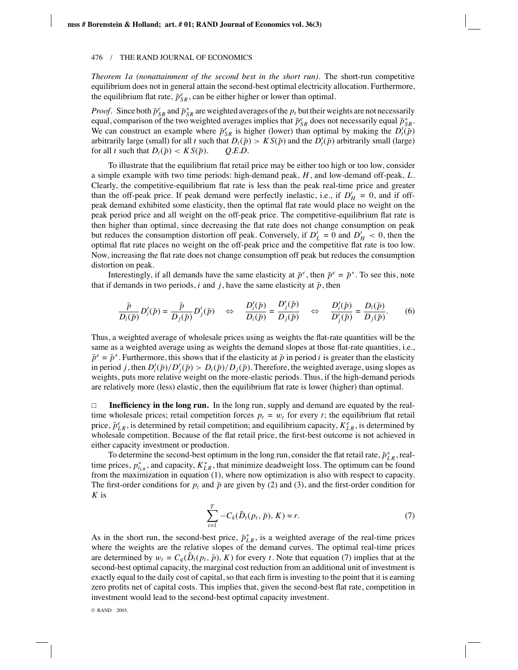*Theorem 1a (nonattainment of the second best in the short run)*. The short-run competitive equilibrium does not in general attain the second-best optimal electricity allocation. Furthermore, the equilibrium flat rate,  $\bar{p}_{SR}^e$ , can be either higher or lower than optimal.

*Proof.* Since both  $\bar{p}_{SR}^e$  and  $\bar{p}_{SR}^*$  are weighted averages of the  $p_t$  but their weights are not necessarily equal, comparison of the two weighted averages implies that  $\bar{p}_{SR}^e$  does not necessarily equal  $\bar{p}_{SR}^*$ . We can construct an example where  $\bar{p}_{SR}^e$  is higher (lower) than optimal by making the  $D_t^i(\bar{p})$ arbitrarily large (small) for all *t* such that  $D_t(\bar{p}) > K S(\bar{p})$  and the  $D'_t(\bar{p})$  arbitrarily small (large) for all *t* such that  $D_t(\bar{p}) < KS(\bar{p})$ . *Q.E.D.* 

To illustrate that the equilibrium flat retail price may be either too high or too low, consider a simple example with two time periods: high-demand peak, *H*, and low-demand off-peak, *L*. Clearly, the competitive-equilibrium flat rate is less than the peak real-time price and greater than the off-peak price. If peak demand were perfectly inelastic, i.e., if  $D'_H = 0$ , and if offpeak demand exhibited some elasticity, then the optimal flat rate would place no weight on the peak period price and all weight on the off-peak price. The competitive-equilibrium flat rate is then higher than optimal, since decreasing the flat rate does not change consumption on peak but reduces the consumption distortion off peak. Conversely, if  $D'_{L} = 0$  and  $D'_{H} < 0$ , then the optimal flat rate places no weight on the off-peak price and the competitive flat rate is too low. Now, increasing the flat rate does not change consumption off peak but reduces the consumption distortion on peak.

Interestingly, if all demands have the same elasticity at  $\bar{p}^e$ , then  $\bar{p}^e = \bar{p}^*$ . To see this, note that if demands in two periods, *i* and *j*, have the same elasticity at  $\bar{p}$ , then

$$
\frac{\bar{p}}{D_i(\bar{p})}D_i'(\bar{p}) = \frac{\bar{p}}{D_j(\bar{p})}D_j'(\bar{p}) \quad \Leftrightarrow \quad \frac{D_i'(\bar{p})}{D_i(\bar{p})} = \frac{D_j'(\bar{p})}{D_j(\bar{p})} \quad \Leftrightarrow \quad \frac{D_i'(\bar{p})}{D_j'(\bar{p})} = \frac{D_i(\bar{p})}{D_j(\bar{p})}. \tag{6}
$$

Thus, a weighted average of wholesale prices using as weights the flat-rate quantities will be the same as a weighted average using as weights the demand slopes at those flat-rate quantities, i.e.,  $\bar{p}^e = \bar{p}^*$ . Furthermore, this shows that if the elasticity at  $\bar{p}$  in period *i* is greater than the elasticity in period *j*, then  $D_i'(\bar{p})/D_j'(\bar{p}) > D_i(\bar{p})/D_j(\bar{p})$ . Therefore, the weighted average, using slopes as weights, puts more relative weight on the more-elastic periods. Thus, if the high-demand periods are relatively more (less) elastic, then the equilibrium flat rate is lower (higher) than optimal.

 $\Box$ **Inefficiency in the long run.** In the long run, supply and demand are equated by the realtime wholesale prices; retail competition forces  $p_t = w_t$  for every *t*; the equilibrium flat retail price,  $\bar{p}_{LR}^e$ , is determined by retail competition; and equilibrium capacity,  $K_{LR}^e$ , is determined by wholesale competition. Because of the flat retail price, the first-best outcome is not achieved in either capacity investment or production.

To determine the second-best optimum in the long run, consider the flat retail rate,  $\bar{p}_{LR}^*$ , realtime prices,  $p_{t_{LR}}^*$ , and capacity,  $K_{LR}^*$ , that minimize deadweight loss. The optimum can be found from the maximization in equation (1), where now optimization is also with respect to capacity. The first-order conditions for  $p_t$  and  $\bar{p}$  are given by (2) and (3), and the first-order condition for *K* is

$$
\sum_{t=1}^{T} -C_k(\tilde{D}_t(p_t, \bar{p}), K) = r.
$$
 (7)

As in the short run, the second-best price,  $\bar{p}_{LR}^*$ , is a weighted average of the real-time prices where the weights are the relative slopes of the demand curves. The optimal real-time prices are determined by  $w_t = C_q(\tilde{D}_t(p_t, \bar{p}), K)$  for every *t*. Note that equation (7) implies that at the second-best optimal capacity, the marginal cost reduction from an additional unit of investment is exactly equal to the daily cost of capital, so that each firm is investing to the point that it is earning zero profits net of capital costs. This implies that, given the second-best flat rate, competition in investment would lead to the second-best optimal capacity investment.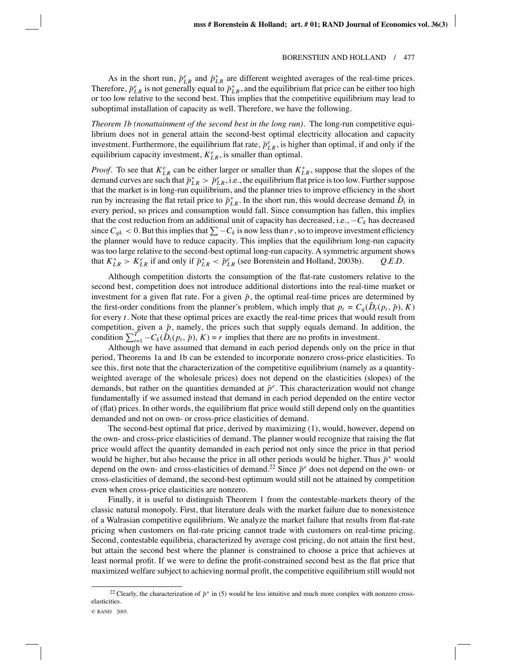As in the short run,  $\bar{p}_{LR}^e$  and  $\bar{p}_{LR}^*$  are different weighted averages of the real-time prices. Therefore,  $\bar{p}_{LR}^e$  is not generally equal to  $\bar{p}_{LR}^*$ , and the equilibrium flat price can be either too high or too low relative to the second best. This implies that the competitive equilibrium may lead to suboptimal installation of capacity as well. Therefore, we have the following.

*Theorem 1b (nonattainment of the second best in the long run)*. The long-run competitive equilibrium does not in general attain the second-best optimal electricity allocation and capacity investment. Furthermore, the equilibrium flat rate,  $\bar{p}_{LR}^e$ , is higher than optimal, if and only if the equilibrium capacity investment,  $K_{LR}^e$ , is smaller than optimal.

*Proof.* To see that  $K_{LR}^e$  can be either larger or smaller than  $K_{LR}^*$ , suppose that the slopes of the demand curves are such that  $\bar{p}_{LR}^* > \bar{p}_{LR}^e$ , i.e., the equilibrium flat price is too low. Further suppose that the market is in long-run equilibrium, and the planner tries to improve efficiency in the short run by increasing the flat retail price to  $\bar{p}_{LR}^*$ . In the short run, this would decrease demand  $\tilde{D}_t$  in every period, so prices and consumption would fall. Since consumption has fallen, this implies that the cost reduction from an additional unit of capacity has decreased, i.e.,  $-C_k$  has decreased since  $C_{qk} < 0$ . But this implies that  $\sum -C_k$  is now less than *r*, so to improve investment efficiency the planner would have to reduce capacity. This implies that the equilibrium long-run capacity was too large relative to the second-best optimal long-run capacity. A symmetric argument shows that  $K_{LR}^* > K_{LR}^e$  if and only if  $\bar{p}_{LR}^* < \bar{p}_{LR}^e$  (see Borenstein and Holland, 2003b). *Q.E.D.* 

Although competition distorts the consumption of the flat-rate customers relative to the second best, competition does not introduce additional distortions into the real-time market or investment for a given flat rate. For a given  $\bar{p}$ , the optimal real-time prices are determined by the first-order conditions from the planner's problem, which imply that  $p_t = C_q(\tilde{D}_t(p_t, \bar{p}), K)$ for every *t*. Note that these optimal prices are exactly the real-time prices that would result from competition, given a  $\bar{p}$ , namely, the prices such that supply equals demand. In addition, the condition  $\sum_{t=1}^{T} -C_k(\tilde{D}_t(p_t, \bar{p}), K) = r$  implies that there are no profits in investment.

Although we have assumed that demand in each period depends only on the price in that period, Theorems 1a and 1b can be extended to incorporate nonzero cross-price elasticities. To see this, first note that the characterization of the competitive equilibrium (namely as a quantityweighted average of the wholesale prices) does not depend on the elasticities (slopes) of the demands, but rather on the quantities demanded at  $\bar{p}^e$ . This characterization would not change fundamentally if we assumed instead that demand in each period depended on the entire vector of (flat) prices. In other words, the equilibrium flat price would still depend only on the quantities demanded and not on own- or cross-price elasticities of demand.

The second-best optimal flat price, derived by maximizing (1), would, however, depend on the own- and cross-price elasticities of demand. The planner would recognize that raising the flat price would affect the quantity demanded in each period not only since the price in that period would be higher, but also because the price in all other periods would be higher. Thus  $\bar{p}^*$  would depend on the own- and cross-elasticities of demand.<sup>22</sup> Since  $\bar{p}^e$  does not depend on the own- or cross-elasticities of demand, the second-best optimum would still not be attained by competition even when cross-price elasticities are nonzero.

Finally, it is useful to distinguish Theorem 1 from the contestable-markets theory of the classic natural monopoly. First, that literature deals with the market failure due to nonexistence of a Walrasian competitive equilibrium. We analyze the market failure that results from flat-rate pricing when customers on flat-rate pricing cannot trade with customers on real-time pricing. Second, contestable equilibria, characterized by average cost pricing, do not attain the first best, but attain the second best where the planner is constrained to choose a price that achieves at least normal profit. If we were to define the profit-constrained second best as the flat price that maximized welfare subject to achieving normal profit, the competitive equilibrium still would not

<sup>&</sup>lt;sup>22</sup> Clearly, the characterization of  $\bar{p}^*$  in (5) would be less intuitive and much more complex with nonzero crosselasticities.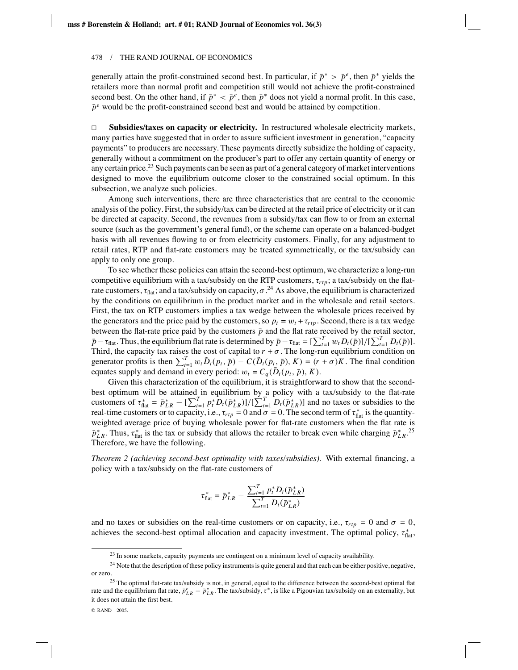generally attain the profit-constrained second best. In particular, if  $\bar{p}^* > \bar{p}^e$ , then  $\bar{p}^*$  yields the retailers more than normal profit and competition still would not achieve the profit-constrained second best. On the other hand, if  $\bar{p}^* < \bar{p}^e$ , then  $\bar{p}^*$  does not yield a normal profit. In this case,  $\bar{p}^e$  would be the profit-constrained second best and would be attained by competition.

 $\Box$  **Subsidies/taxes on capacity or electricity.** In restructured wholesale electricity markets, many parties have suggested that in order to assure sufficient investment in generation, "capacity payments" to producers are necessary. These payments directly subsidize the holding of capacity, generally without a commitment on the producer's part to offer any certain quantity of energy or any certain price.<sup>23</sup> Such payments can be seen as part of a general category of market interventions designed to move the equilibrium outcome closer to the constrained social optimum. In this subsection, we analyze such policies.

Among such interventions, there are three characteristics that are central to the economic analysis of the policy. First, the subsidy/tax can be directed at the retail price of electricity or it can be directed at capacity. Second, the revenues from a subsidy/tax can flow to or from an external source (such as the government's general fund), or the scheme can operate on a balanced-budget basis with all revenues flowing to or from electricity customers. Finally, for any adjustment to retail rates, RTP and flat-rate customers may be treated symmetrically, or the tax/subsidy can apply to only one group.

To see whether these policies can attain the second-best optimum, we characterize a long-run competitive equilibrium with a tax/subsidy on the RTP customers, τ*rtp*; a tax/subsidy on the flatrate customers,  $\tau_{\text{flat}}$ ; and a tax/subsidy on capacity,  $\sigma$ .<sup>24</sup> As above, the equilibrium is characterized by the conditions on equilibrium in the product market and in the wholesale and retail sectors. First, the tax on RTP customers implies a tax wedge between the wholesale prices received by the generators and the price paid by the customers, so  $p_t = w_t + \tau_{rtp}$ . Second, there is a tax wedge between the flat-rate price paid by the customers  $\bar{p}$  and the flat rate received by the retail sector,  $\bar{p} - \tau_{\text{flat}}$ . Thus, the equilibrium flat rate is determined by  $\bar{p} - \tau_{\text{flat}} = \left[\sum_{t=1}^{T} w_t D_t(\bar{p})\right] / \left[\sum_{t=1}^{T} D_t(\bar{p})\right]$ . Third, the capacity tax raises the cost of capital to  $r + \sigma$ . The long-run equilibrium condition on generator profits is then  $\sum_{t=1}^{T} w_t \tilde{D}_t(p_t, \bar{p}) - C(\tilde{D}_t(p_t, \bar{p}), K) = (r + \sigma)K$ . The final condition equates supply and demand in every period:  $w_t = C_q(\tilde{D}_t(p_t, \bar{p}), K)$ .

Given this characterization of the equilibrium, it is straightforward to show that the secondbest optimum will be attained in equilibrium by a policy with a tax/subsidy to the flat-rate customers of  $\tau_{\text{flat}}^* = \bar{p}_{LR}^* - \left[\sum_{t=1}^T p_t^* D_t(\bar{p}_{LR}^*)\right] / \left[\sum_{t=1}^T D_t(\bar{p}_{LR}^*)\right]$  and no taxes or subsidies to the real-time customers or to capacity, i.e.,  $\tau_{rtp} = 0$  and  $\sigma = 0$ . The second term of  $\tau_{flat}^*$  is the quantityweighted average price of buying wholesale power for flat-rate customers when the flat rate is  $\bar{p}_{LR}^*$ . Thus,  $\tau_{flat}^*$  is the tax or subsidy that allows the retailer to break even while charging  $\bar{p}_{LR}^*$ .<sup>25</sup> Therefore, we have the following.

*Theorem 2 (achieving second-best optimality with taxes/subsidies).* With external financing, a policy with a tax/subsidy on the flat-rate customers of

$$
\tau_{\text{flat}}^* = \bar{p}_{LR}^* - \frac{\sum_{t=1}^T p_t^* D_t(\bar{p}_{LR}^*)}{\sum_{t=1}^T D_t(\bar{p}_{LR}^*)}
$$

and no taxes or subsidies on the real-time customers or on capacity, i.e.,  $\tau_{rtp} = 0$  and  $\sigma = 0$ , achieves the second-best optimal allocation and capacity investment. The optimal policy,  $\tau_{\text{flat}}^*$ ,

<sup>&</sup>lt;sup>23</sup> In some markets, capacity payments are contingent on a minimum level of capacity availability.

<sup>&</sup>lt;sup>24</sup> Note that the description of these policy instruments is quite general and that each can be either positive, negative, or zero.

<sup>&</sup>lt;sup>25</sup> The optimal flat-rate tax/subsidy is not, in general, equal to the difference between the second-best optimal flat rate and the equilibrium flat rate,  $\bar{p}_{LR}^e - \bar{p}_{LR}^*$ . The tax/subsidy,  $\tau^*$ , is like a Pigouvian tax/subsidy on an externality, but it does not attain the first best.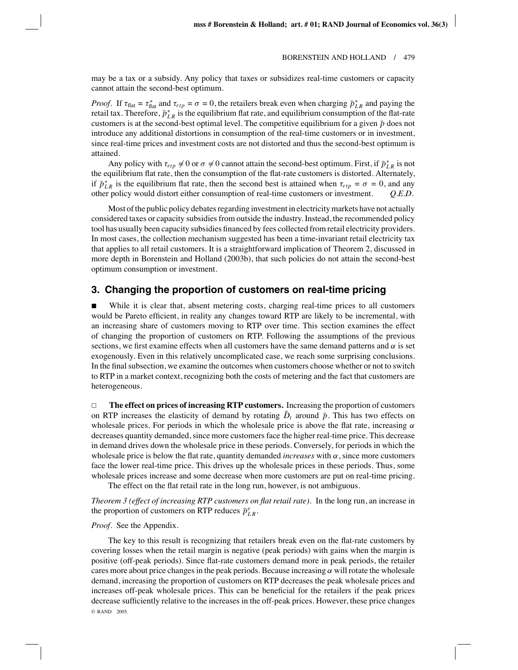may be a tax or a subsidy. Any policy that taxes or subsidizes real-time customers or capacity cannot attain the second-best optimum.

*Proof.* If  $\tau_{\text{flat}} = \tau_{\text{flat}}^*$  and  $\tau_{\text{rip}} = \sigma = 0$ , the retailers break even when charging  $\bar{p}_{LR}^*$  and paying the retail tax. Therefore,  $\bar{p}_{LR}^*$  is the equilibrium flat rate, and equilibrium consumption of the flat-rate customers is at the second-best optimal level. The competitive equilibrium for a given  $\bar{p}$  does not introduce any additional distortions in consumption of the real-time customers or in investment, since real-time prices and investment costs are not distorted and thus the second-best optimum is attained.

Any policy with  $\tau_{rtp} \neq 0$  or  $\sigma \neq 0$  cannot attain the second-best optimum. First, if  $\bar{p}_{LR}^*$  is not the equilibrium flat rate, then the consumption of the flat-rate customers is distorted. Alternately, if  $\bar{p}_{LR}^*$  is the equilibrium flat rate, then the second best is attained when  $\tau_{rtp} = \sigma = 0$ , and any other policy would distort either consumption of real-time customers or investment. *Q.E.D.*

Most of the public policy debates regarding investment in electricity markets have not actually considered taxes or capacity subsidies from outside the industry. Instead, the recommended policy tool has usually been capacity subsidies financed by fees collected from retail electricity providers. In most cases, the collection mechanism suggested has been a time-invariant retail electricity tax that applies to all retail customers. It is a straightforward implication of Theorem 2, discussed in more depth in Borenstein and Holland (2003b), that such policies do not attain the second-best optimum consumption or investment.

## **3. Changing the proportion of customers on real-time pricing**

 While it is clear that, absent metering costs, charging real-time prices to all customers would be Pareto efficient, in reality any changes toward RTP are likely to be incremental, with an increasing share of customers moving to RTP over time. This section examines the effect of changing the proportion of customers on RTP. Following the assumptions of the previous sections, we first examine effects when all customers have the same demand patterns and  $\alpha$  is set exogenously. Even in this relatively uncomplicated case, we reach some surprising conclusions. In the final subsection, we examine the outcomes when customers choose whether or not to switch to RTP in a market context, recognizing both the costs of metering and the fact that customers are heterogeneous.

 $\Box$  **The effect on prices of increasing RTP customers.** Increasing the proportion of customers on RTP increases the elasticity of demand by rotating  $\tilde{D}_t$  around  $\bar{p}$ . This has two effects on wholesale prices. For periods in which the wholesale price is above the flat rate, increasing  $\alpha$ decreases quantity demanded, since more customers face the higher real-time price. This decrease in demand drives down the wholesale price in these periods. Conversely, for periods in which the wholesale price is below the flat rate, quantity demanded *increases* with  $\alpha$ , since more customers face the lower real-time price. This drives up the wholesale prices in these periods. Thus, some wholesale prices increase and some decrease when more customers are put on real-time pricing.

The effect on the flat retail rate in the long run, however, is not ambiguous.

*Theorem 3 (effect of increasing RTP customers on flat retail rate)*. In the long run, an increase in the proportion of customers on RTP reduces  $\bar{p}_{LR}^e$ .

## *Proof*. See the Appendix.

The key to this result is recognizing that retailers break even on the flat-rate customers by covering losses when the retail margin is negative (peak periods) with gains when the margin is positive (off-peak periods). Since flat-rate customers demand more in peak periods, the retailer cares more about price changes in the peak periods. Because increasing  $\alpha$  will rotate the wholesale demand, increasing the proportion of customers on RTP decreases the peak wholesale prices and increases off-peak wholesale prices. This can be beneficial for the retailers if the peak prices decrease sufficiently relative to the increases in the off-peak prices. However, these price changes © RAND 2005.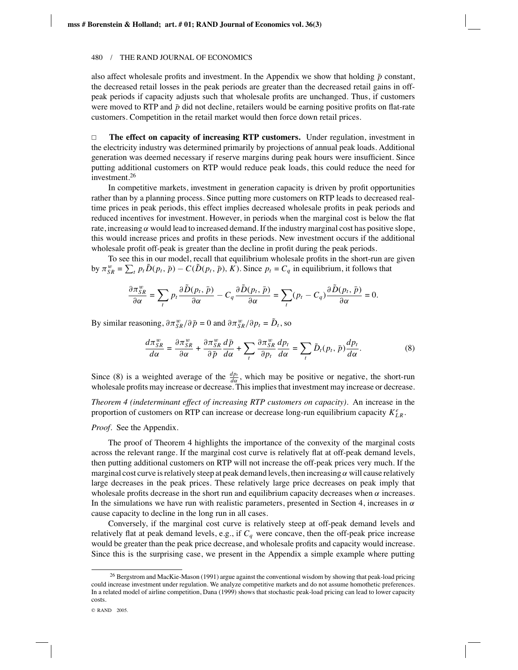also affect wholesale profits and investment. In the Appendix we show that holding  $\bar{p}$  constant, the decreased retail losses in the peak periods are greater than the decreased retail gains in offpeak periods if capacity adjusts such that wholesale profits are unchanged. Thus, if customers were moved to RTP and  $\bar{p}$  did not decline, retailers would be earning positive profits on flat-rate customers. Competition in the retail market would then force down retail prices.

 $\Box$  **The effect on capacity of increasing RTP customers.** Under regulation, investment in the electricity industry was determined primarily by projections of annual peak loads. Additional generation was deemed necessary if reserve margins during peak hours were insufficient. Since putting additional customers on RTP would reduce peak loads, this could reduce the need for investment.26

In competitive markets, investment in generation capacity is driven by profit opportunities rather than by a planning process. Since putting more customers on RTP leads to decreased realtime prices in peak periods, this effect implies decreased wholesale profits in peak periods and reduced incentives for investment. However, in periods when the marginal cost is below the flat rate, increasing  $\alpha$  would lead to increased demand. If the industry marginal cost has positive slope, this would increase prices and profits in these periods. New investment occurs if the additional wholesale profit off-peak is greater than the decline in profit during the peak periods.

To see this in our model, recall that equilibrium wholesale profits in the short-run are given by  $\pi_{SR}^w = \sum_t p_t \tilde{D}(p_t, \bar{p}) - C(\tilde{D}(p_t, \bar{p}), K)$ . Since  $p_t = C_q$  in equilibrium, it follows that

$$
\frac{\partial \pi_{SR}^w}{\partial \alpha} = \sum_t p_t \frac{\partial \tilde{D}(p_t, \bar{p})}{\partial \alpha} - C_q \frac{\partial \tilde{D}(p_t, \bar{p})}{\partial \alpha} = \sum_t (p_t - C_q) \frac{\partial \tilde{D}(p_t, \bar{p})}{\partial \alpha} = 0.
$$

By similar reasoning,  $\partial \pi_{SR}^w / \partial \bar{p} = 0$  and  $\partial \pi_{SR}^w / \partial p_t = \tilde{D}_t$ , so

$$
\frac{d\pi_{SR}^w}{d\alpha} = \frac{\partial \pi_{SR}^w}{\partial \alpha} + \frac{\partial \pi_{SR}^w}{\partial \bar{p}} \frac{d\bar{p}}{d\alpha} + \sum_{t} \frac{\partial \pi_{SR}^w}{\partial p_t} \frac{dp_t}{d\alpha} = \sum_{t} \tilde{D}_t(p_t, \bar{p}) \frac{dp_t}{d\alpha}.
$$
(8)

Since (8) is a weighted average of the  $\frac{dp_t}{d\alpha}$ , which may be positive or negative, the short-run wholesale profits may increase or decrease. This implies that investment may increase or decrease.

*Theorem 4 (indeterminant effect of increasing RTP customers on capacity)*. An increase in the proportion of customers on RTP can increase or decrease long-run equilibrium capacity  $K_{LR}^e$ .

*Proof*. See the Appendix.

The proof of Theorem 4 highlights the importance of the convexity of the marginal costs across the relevant range. If the marginal cost curve is relatively flat at off-peak demand levels, then putting additional customers on RTP will not increase the off-peak prices very much. If the marginal cost curve is relatively steep at peak demand levels, then increasing  $\alpha$  will cause relatively large decreases in the peak prices. These relatively large price decreases on peak imply that wholesale profits decrease in the short run and equilibrium capacity decreases when  $\alpha$  increases. In the simulations we have run with realistic parameters, presented in Section 4, increases in  $\alpha$ cause capacity to decline in the long run in all cases.

Conversely, if the marginal cost curve is relatively steep at off-peak demand levels and relatively flat at peak demand levels, e.g., if  $C_q$  were concave, then the off-peak price increase would be greater than the peak price decrease, and wholesale profits and capacity would increase. Since this is the surprising case, we present in the Appendix a simple example where putting

<sup>&</sup>lt;sup>26</sup> Bergstrom and MacKie-Mason (1991) argue against the conventional wisdom by showing that peak-load pricing could increase investment under regulation. We analyze competitive markets and do not assume homothetic preferences. In a related model of airline competition, Dana (1999) shows that stochastic peak-load pricing can lead to lower capacity costs.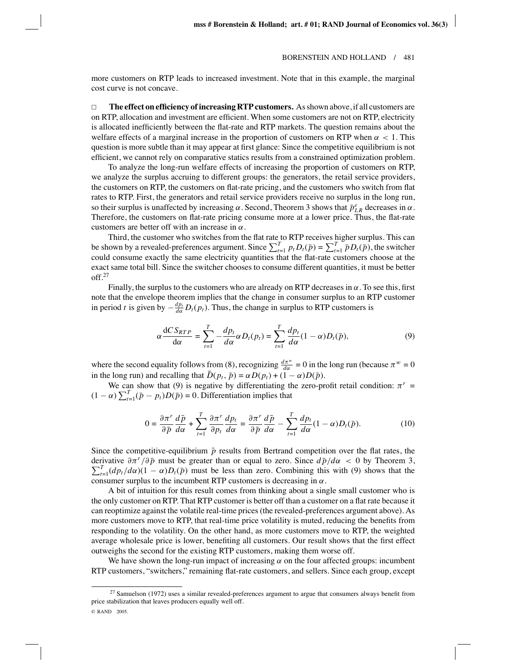more customers on RTP leads to increased investment. Note that in this example, the marginal cost curve is not concave.

 $\Box$  **The effect on efficiency of increasing RTP customers.** As shown above, if all customers are on RTP, allocation and investment are efficient. When some customers are not on RTP, electricity is allocated inefficiently between the flat-rate and RTP markets. The question remains about the welfare effects of a marginal increase in the proportion of customers on RTP when  $\alpha < 1$ . This question is more subtle than it may appear at first glance: Since the competitive equilibrium is not efficient, we cannot rely on comparative statics results from a constrained optimization problem.

To analyze the long-run welfare effects of increasing the proportion of customers on RTP, we analyze the surplus accruing to different groups: the generators, the retail service providers, the customers on RTP, the customers on flat-rate pricing, and the customers who switch from flat rates to RTP. First, the generators and retail service providers receive no surplus in the long run, so their surplus is unaffected by increasing  $\alpha$ . Second, Theorem 3 shows that  $\bar{p}_{LR}^e$  decreases in  $\alpha$ . Therefore, the customers on flat-rate pricing consume more at a lower price. Thus, the flat-rate customers are better off with an increase in  $\alpha$ .

Third, the customer who switches from the flat rate to RTP receives higher surplus. This can be shown by a revealed-preferences argument. Since  $\sum_{t=1}^{T} p_t D_t(\bar{p}) = \sum_{t=1}^{T} \bar{p} D_t(\bar{p})$ , the switcher could consume exactly the same electricity quantities that the flat-rate customers choose at the exact same total bill. Since the switcher chooses to consume different quantities, it must be better off.27

Finally, the surplus to the customers who are already on RTP decreases in  $\alpha$ . To see this, first note that the envelope theorem implies that the change in consumer surplus to an RTP customer in period *t* is given by  $-\frac{dp_t}{d\alpha}D_t(p_t)$ . Thus, the change in surplus to RTP customers is

$$
\alpha \frac{\mathrm{d}CS_{RTP}}{\mathrm{d}\alpha} = \sum_{t=1}^{T} -\frac{dp_t}{d\alpha} \alpha D_t(p_t) = \sum_{t=1}^{T} \frac{dp_t}{d\alpha} (1 - \alpha) D_t(\bar{p}),\tag{9}
$$

where the second equality follows from (8), recognizing  $\frac{d\pi^w}{d\alpha} = 0$  in the long run (because  $\pi^w = 0$ in the long run) and recalling that  $\tilde{D}(p_t, \bar{p}) = \alpha D(p_t) + (1 - \alpha)D(\bar{p})$ .

We can show that (9) is negative by differentiating the zero-profit retail condition:  $\pi^r$  =  $(1 - \alpha) \sum_{t=1}^{T} (\bar{p} - p_t) D(\bar{p}) = 0$ . Differentiation implies that

$$
0 = \frac{\partial \pi^r}{\partial \bar{p}} \frac{d\bar{p}}{d\alpha} + \sum_{t=1}^T \frac{\partial \pi^r}{\partial p_t} \frac{dp_t}{d\alpha} = \frac{\partial \pi^r}{\partial \bar{p}} \frac{d\bar{p}}{d\alpha} - \sum_{t=1}^T \frac{dp_t}{d\alpha} (1 - \alpha) D_t(\bar{p}).
$$
 (10)

Since the competitive-equilibrium  $\bar{p}$  results from Bertrand competition over the flat rates, the derivative  $\partial \pi^r / \partial \bar{p}$  must be greater than or equal to zero. Since  $d\bar{p}/d\alpha < 0$  by Theorem 3,  $\sum_{t=1}^{T} (dp_t/d\alpha)(1-\alpha)D_t(\bar{p})$  must be less than zero. Combining this with (9) shows that the consumer surplus to the incumbent RTP customers is decreasing in  $\alpha$ .

A bit of intuition for this result comes from thinking about a single small customer who is the only customer on RTP. That RTP customer is better off than a customer on a flat rate because it can reoptimize against the volatile real-time prices (the revealed-preferences argument above). As more customers move to RTP, that real-time price volatility is muted, reducing the benefits from responding to the volatility. On the other hand, as more customers move to RTP, the weighted average wholesale price is lower, benefiting all customers. Our result shows that the first effect outweighs the second for the existing RTP customers, making them worse off.

We have shown the long-run impact of increasing  $\alpha$  on the four affected groups: incumbent RTP customers, "switchers," remaining flat-rate customers, and sellers. Since each group, except

 $^{27}$  Samuelson (1972) uses a similar revealed-preferences argument to argue that consumers always benefit from price stabilization that leaves producers equally well off.

<sup>©</sup> RAND 2005.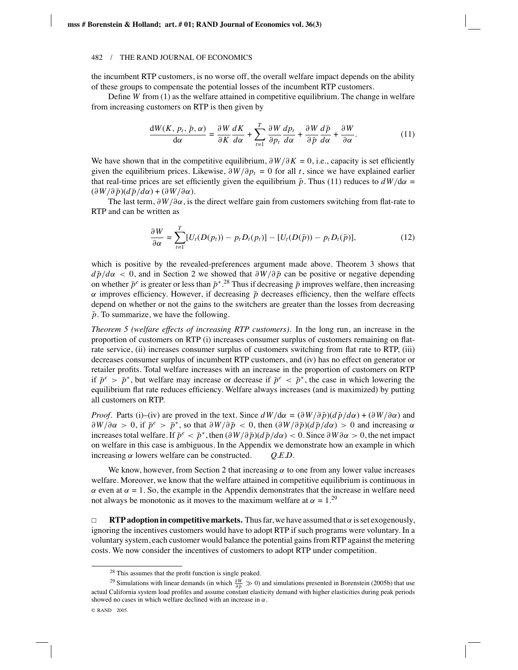the incumbent RTP customers, is no worse off, the overall welfare impact depends on the ability of these groups to compensate the potential losses of the incumbent RTP customers.

Define *W* from (1) as the welfare attained in competitive equilibrium. The change in welfare from increasing customers on RTP is then given by

$$
\frac{\mathrm{d}W(K,\,p_t,\,\bar{p},\,\alpha)}{\mathrm{d}\alpha} = \frac{\partial W}{\partial K}\frac{dK}{d\alpha} + \sum_{t=1}^T \frac{\partial W}{\partial p_t}\frac{dp_t}{d\alpha} + \frac{\partial W}{\partial \bar{p}}\frac{d\bar{p}}{d\alpha} + \frac{\partial W}{\partial \alpha}.\tag{11}
$$

We have shown that in the competitive equilibrium,  $\partial W/\partial K = 0$ , i.e., capacity is set efficiently given the equilibrium prices. Likewise,  $\partial W/\partial p_t = 0$  for all *t*, since we have explained earlier that real-time prices are set efficiently given the equilibrium  $\bar{p}$ . Thus (11) reduces to  $dW/d\alpha =$  $(\partial W/\partial \bar{p})(d\bar{p}/d\alpha) + (\partial W/\partial \alpha).$ 

The last term,  $\partial W/\partial \alpha$ , is the direct welfare gain from customers switching from flat-rate to RTP and can be written as

$$
\frac{\partial W}{\partial \alpha} = \sum_{t=1}^{T} [U_t(D(p_t)) - p_t D_t(p_t)] - [U_t(D(\bar{p})) - p_t D_t(\bar{p})], \tag{12}
$$

which is positive by the revealed-preferences argument made above. Theorem 3 shows that  $d\bar{p}/d\alpha$  < 0, and in Section 2 we showed that  $\partial W/\partial \bar{p}$  can be positive or negative depending on whether  $\bar{p}^e$  is greater or less than  $\bar{p}^*$ .<sup>28</sup> Thus if decreasing  $\bar{p}$  improves welfare, then increasing  $\alpha$  improves efficiency. However, if decreasing  $\bar{p}$  decreases efficiency, then the welfare effects depend on whether or not the gains to the switchers are greater than the losses from decreasing  $\bar{p}$ . To summarize, we have the following.

*Theorem 5 (welfare effects of increasing RTP customers)*. In the long run, an increase in the proportion of customers on RTP (i) increases consumer surplus of customers remaining on flatrate service, (ii) increases consumer surplus of customers switching from flat rate to RTP, (iii) decreases consumer surplus of incumbent RTP customers, and (iv) has no effect on generator or retailer profits. Total welfare increases with an increase in the proportion of customers on RTP if  $\bar{p}^e > \bar{p}^*$ , but welfare may increase or decrease if  $\bar{p}^e < \bar{p}^*$ , the case in which lowering the equilibrium flat rate reduces efficiency. Welfare always increases (and is maximized) by putting all customers on RTP.

*Proof.* Parts (i)–(iv) are proved in the text. Since  $dW/d\alpha = (\partial W/\partial \bar{p})(d\bar{p}/d\alpha) + (\partial W/\partial \alpha)$  and  $\frac{\partial W}{\partial \alpha} > 0$ , if  $\bar{p}^e > \bar{p}^*$ , so that  $\frac{\partial W}{\partial \bar{p}} < 0$ , then  $\left(\frac{\partial W}{\partial \bar{p}}\right)\left(\frac{d\bar{p}}{d\alpha}\right) > 0$  and increasing  $\alpha$ increases total welfare. If  $\bar{p}^e < \bar{p}^*$ , then  $(\partial W/\partial \bar{p})(d\bar{p}/d\alpha) < 0$ . Since  $\partial W \partial \alpha > 0$ , the net impact on welfare in this case is ambiguous. In the Appendix we demonstrate how an example in which increasing  $\alpha$  lowers welfare can be constructed.  $Q.E.D.$ 

We know, however, from Section 2 that increasing  $\alpha$  to one from any lower value increases welfare. Moreover, we know that the welfare attained in competitive equilibrium is continuous in  $\alpha$  even at  $\alpha = 1$ . So, the example in the Appendix demonstrates that the increase in welfare need not always be monotonic as it moves to the maximum welfare at  $\alpha = 1.^{29}$ 

 $\Box$ **RTP adoption in competitive markets.** Thus far, we have assumed that  $\alpha$  is set exogenously, ignoring the incentives customers would have to adopt RTP if such programs were voluntary. In a voluntary system, each customer would balance the potential gains from RTP against the metering costs. We now consider the incentives of customers to adopt RTP under competition.

<sup>28</sup> This assumes that the profit function is single peaked.

<sup>&</sup>lt;sup>29</sup> Simulations with linear demands (in which  $\frac{\partial W}{\partial \rho}$  ≫ 0) and simulations presented in Borenstein (2005b) that use actual California system load profiles and assume constant elasticity demand with higher elasticities during peak periods showed no cases in which welfare declined with an increase in  $\alpha$ .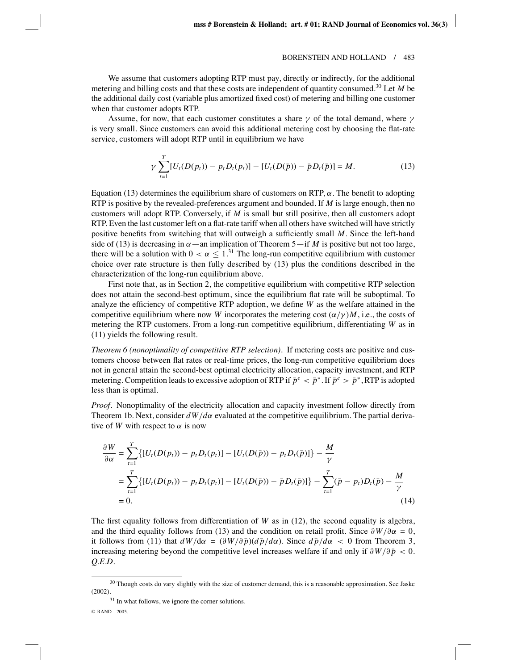We assume that customers adopting RTP must pay, directly or indirectly, for the additional metering and billing costs and that these costs are independent of quantity consumed.30 Let *M* be the additional daily cost (variable plus amortized fixed cost) of metering and billing one customer when that customer adopts RTP.

Assume, for now, that each customer constitutes a share  $\gamma$  of the total demand, where  $\gamma$ is very small. Since customers can avoid this additional metering cost by choosing the flat-rate service, customers will adopt RTP until in equilibrium we have

$$
\gamma \sum_{t=1}^{T} [U_t(D(p_t)) - p_t D_t(p_t)] - [U_t(D(\bar{p})) - \bar{p} D_t(\bar{p})] = M.
$$
\n(13)

Equation (13) determines the equilibrium share of customers on RTP,  $\alpha$ . The benefit to adopting RTP is positive by the revealed-preferences argument and bounded. If *M* is large enough, then no customers will adopt RTP. Conversely, if *M* is small but still positive, then all customers adopt RTP. Even the last customer left on a flat-rate tariff when all others have switched will have strictly positive benefits from switching that will outweigh a sufficiently small *M*. Since the left-hand side of (13) is decreasing in  $\alpha$  —an implication of Theorem 5—if *M* is positive but not too large, there will be a solution with  $0 < \alpha \leq 1$ .<sup>31</sup> The long-run competitive equilibrium with customer choice over rate structure is then fully described by (13) plus the conditions described in the characterization of the long-run equilibrium above.

First note that, as in Section 2, the competitive equilibrium with competitive RTP selection does not attain the second-best optimum, since the equilibrium flat rate will be suboptimal. To analyze the efficiency of competitive RTP adoption, we define *W* as the welfare attained in the competitive equilibrium where now *W* incorporates the metering cost  $\left(\frac{\alpha}{\gamma}\right)M$ , i.e., the costs of metering the RTP customers. From a long-run competitive equilibrium, differentiating *W* as in (11) yields the following result.

*Theorem 6 (nonoptimality of competitive RTP selection)*. If metering costs are positive and customers choose between flat rates or real-time prices, the long-run competitive equilibrium does not in general attain the second-best optimal electricity allocation, capacity investment, and RTP metering. Competition leads to excessive adoption of RTP if  $\bar{p}^e \leq \bar{p}^*$ . If  $\bar{p}^e \geq \bar{p}^*$ , RTP is adopted less than is optimal.

*Proof*. Nonoptimality of the electricity allocation and capacity investment follow directly from Theorem 1b. Next, consider *dW*/*d*α evaluated at the competitive equilibrium. The partial derivative of *W* with respect to  $\alpha$  is now

$$
\frac{\partial W}{\partial \alpha} = \sum_{t=1}^{T} \{ [U_t(D(p_t)) - p_t D_t(p_t)] - [U_t(D(\bar{p})) - p_t D_t(\bar{p})] \} - \frac{M}{\gamma}
$$
  
= 
$$
\sum_{t=1}^{T} \{ [U_t(D(p_t)) - p_t D_t(p_t)] - [U_t(D(\bar{p})) - \bar{p} D_t(\bar{p})] \} - \sum_{t=1}^{T} (\bar{p} - p_t) D_t(\bar{p}) - \frac{M}{\gamma}
$$
  
= 0. (14)

The first equality follows from differentiation of  $W$  as in (12), the second equality is algebra, and the third equality follows from (13) and the condition on retail profit. Since  $\partial W/\partial \alpha = 0$ , it follows from (11) that  $dW/d\alpha = (\partial W/\partial \bar{p})(d\bar{p}/d\alpha)$ . Since  $d\bar{p}/d\alpha < 0$  from Theorem 3, increasing metering beyond the competitive level increases welfare if and only if  $\partial W/\partial \bar{p} < 0$ . *Q.E.D.*

<sup>31</sup> In what follows, we ignore the corner solutions.

<sup>&</sup>lt;sup>30</sup> Though costs do vary slightly with the size of customer demand, this is a reasonable approximation. See Jaske (2002).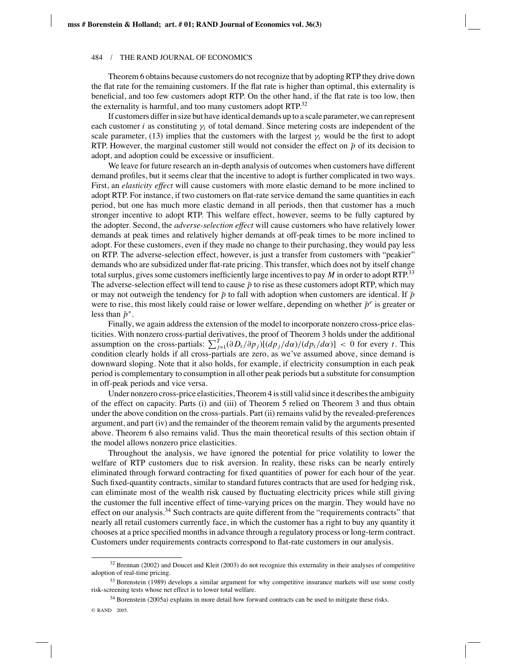Theorem 6 obtains because customers do not recognize that by adopting RTP they drive down the flat rate for the remaining customers. If the flat rate is higher than optimal, this externality is beneficial, and too few customers adopt RTP. On the other hand, if the flat rate is too low, then the externality is harmful, and too many customers adopt RTP.<sup>32</sup>

If customers differ in size but have identical demands up to a scale parameter, we can represent each customer *i* as constituting  $\gamma_i$  of total demand. Since metering costs are independent of the scale parameter, (13) implies that the customers with the largest  $\gamma_i$  would be the first to adopt RTP. However, the marginal customer still would not consider the effect on  $\bar{p}$  of its decision to adopt, and adoption could be excessive or insufficient.

We leave for future research an in-depth analysis of outcomes when customers have different demand profiles, but it seems clear that the incentive to adopt is further complicated in two ways. First, an *elasticity effect* will cause customers with more elastic demand to be more inclined to adopt RTP. For instance, if two customers on flat-rate service demand the same quantities in each period, but one has much more elastic demand in all periods, then that customer has a much stronger incentive to adopt RTP. This welfare effect, however, seems to be fully captured by the adopter. Second, the *adverse-selection effect* will cause customers who have relatively lower demands at peak times and relatively higher demands at off-peak times to be more inclined to adopt. For these customers, even if they made no change to their purchasing, they would pay less on RTP. The adverse-selection effect, however, is just a transfer from customers with "peakier" demands who are subsidized under flat-rate pricing. This transfer, which does not by itself change total surplus, gives some customers inefficiently large incentives to pay *M* in order to adopt RTP.33 The adverse-selection effect will tend to cause  $\bar{p}$  to rise as these customers adopt RTP, which may or may not outweigh the tendency for  $\bar{p}$  to fall with adoption when customers are identical. If  $\bar{p}$ were to rise, this most likely could raise or lower welfare, depending on whether  $\bar{p}^e$  is greater or less than  $\bar{p}^*$ .

Finally, we again address the extension of the model to incorporate nonzero cross-price elasticities. With nonzero cross-partial derivatives, the proof of Theorem 3 holds under the additional assumption on the cross-partials:  $\sum_{j=1}^{T} (\partial D_t/\partial p_j)[(dp_j/d\alpha)/(dp_t/d\alpha)] < 0$  for every *t*. This condition clearly holds if all cross-partials are zero, as we've assumed above, since demand is downward sloping. Note that it also holds, for example, if electricity consumption in each peak period is complementary to consumption in all other peak periods but a substitute for consumption in off-peak periods and vice versa.

Under nonzero cross-price elasticities, Theorem 4 is still valid since it describes the ambiguity of the effect on capacity. Parts (i) and (iii) of Theorem 5 relied on Theorem 3 and thus obtain under the above condition on the cross-partials. Part (ii) remains valid by the revealed-preferences argument, and part (iv) and the remainder of the theorem remain valid by the arguments presented above. Theorem 6 also remains valid. Thus the main theoretical results of this section obtain if the model allows nonzero price elasticities.

Throughout the analysis, we have ignored the potential for price volatility to lower the welfare of RTP customers due to risk aversion. In reality, these risks can be nearly entirely eliminated through forward contracting for fixed quantities of power for each hour of the year. Such fixed-quantity contracts, similar to standard futures contracts that are used for hedging risk, can eliminate most of the wealth risk caused by fluctuating electricity prices while still giving the customer the full incentive effect of time-varying prices on the margin. They would have no effect on our analysis.34 Such contracts are quite different from the "requirements contracts" that nearly all retail customers currently face, in which the customer has a right to buy any quantity it chooses at a price specified months in advance through a regulatory process or long-term contract. Customers under requirements contracts correspond to flat-rate customers in our analysis.

 $32$  Brennan (2002) and Doucet and Kleit (2003) do not recognize this externality in their analyses of competitive adoption of real-time pricing.

<sup>&</sup>lt;sup>33</sup> Borenstein (1989) develops a similar argument for why competitive insurance markets will use some costly risk-screening tests whose net effect is to lower total welfare.

<sup>34</sup> Borenstein (2005a) explains in more detail how forward contracts can be used to mitigate these risks.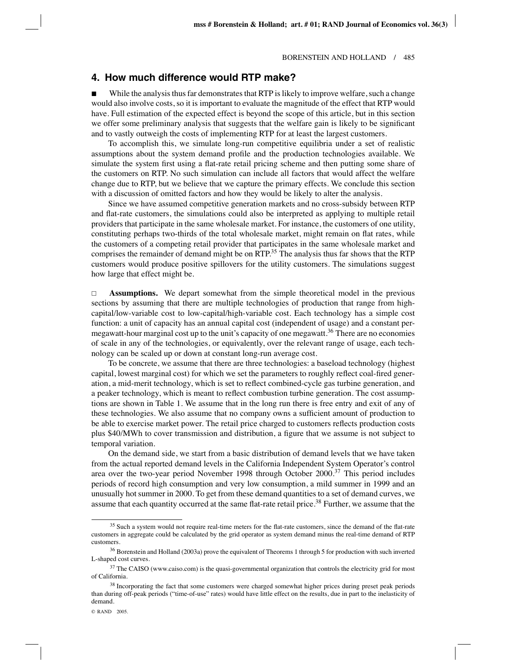# **4. How much difference would RTP make?**

While the analysis thus far demonstrates that RTP is likely to improve welfare, such a change would also involve costs, so it is important to evaluate the magnitude of the effect that RTP would have. Full estimation of the expected effect is beyond the scope of this article, but in this section we offer some preliminary analysis that suggests that the welfare gain is likely to be significant and to vastly outweigh the costs of implementing RTP for at least the largest customers.

To accomplish this, we simulate long-run competitive equilibria under a set of realistic assumptions about the system demand profile and the production technologies available. We simulate the system first using a flat-rate retail pricing scheme and then putting some share of the customers on RTP. No such simulation can include all factors that would affect the welfare change due to RTP, but we believe that we capture the primary effects. We conclude this section with a discussion of omitted factors and how they would be likely to alter the analysis.

Since we have assumed competitive generation markets and no cross-subsidy between RTP and flat-rate customers, the simulations could also be interpreted as applying to multiple retail providers that participate in the same wholesale market. For instance, the customers of one utility, constituting perhaps two-thirds of the total wholesale market, might remain on flat rates, while the customers of a competing retail provider that participates in the same wholesale market and comprises the remainder of demand might be on RTP.<sup>35</sup> The analysis thus far shows that the RTP customers would produce positive spillovers for the utility customers. The simulations suggest how large that effect might be.

 $\Box$  **Assumptions.** We depart somewhat from the simple theoretical model in the previous sections by assuming that there are multiple technologies of production that range from highcapital/low-variable cost to low-capital/high-variable cost. Each technology has a simple cost function: a unit of capacity has an annual capital cost (independent of usage) and a constant permegawatt-hour marginal cost up to the unit's capacity of one megawatt.<sup>36</sup> There are no economies of scale in any of the technologies, or equivalently, over the relevant range of usage, each technology can be scaled up or down at constant long-run average cost.

To be concrete, we assume that there are three technologies: a baseload technology (highest capital, lowest marginal cost) for which we set the parameters to roughly reflect coal-fired generation, a mid-merit technology, which is set to reflect combined-cycle gas turbine generation, and a peaker technology, which is meant to reflect combustion turbine generation. The cost assumptions are shown in Table 1. We assume that in the long run there is free entry and exit of any of these technologies. We also assume that no company owns a sufficient amount of production to be able to exercise market power. The retail price charged to customers reflects production costs plus \$40/MWh to cover transmission and distribution, a figure that we assume is not subject to temporal variation.

On the demand side, we start from a basic distribution of demand levels that we have taken from the actual reported demand levels in the California Independent System Operator's control area over the two-year period November 1998 through October 2000.<sup>37</sup> This period includes periods of record high consumption and very low consumption, a mild summer in 1999 and an unusually hot summer in 2000. To get from these demand quantities to a set of demand curves, we assume that each quantity occurred at the same flat-rate retail price.<sup>38</sup> Further, we assume that the

<sup>&</sup>lt;sup>35</sup> Such a system would not require real-time meters for the flat-rate customers, since the demand of the flat-rate customers in aggregate could be calculated by the grid operator as system demand minus the real-time demand of RTP customers.

<sup>&</sup>lt;sup>36</sup> Borenstein and Holland (2003a) prove the equivalent of Theorems 1 through 5 for production with such inverted L-shaped cost curves.

<sup>&</sup>lt;sup>37</sup> The CAISO (www.caiso.com) is the quasi-governmental organization that controls the electricity grid for most of California.

<sup>&</sup>lt;sup>38</sup> Incorporating the fact that some customers were charged somewhat higher prices during preset peak periods than during off-peak periods ("time-of-use" rates) would have little effect on the results, due in part to the inelasticity of demand.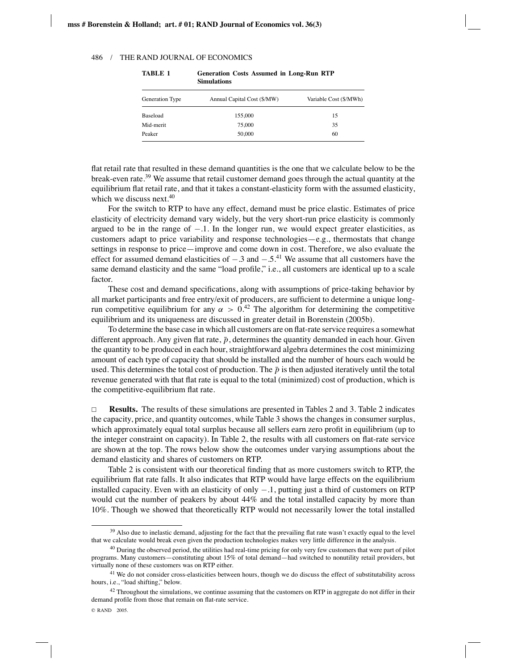| Generation Type | Annual Capital Cost (\$/MW) | Variable Cost (\$/MWh) |  |  |  |
|-----------------|-----------------------------|------------------------|--|--|--|
| Baseload        | 155,000                     | 15                     |  |  |  |
| Mid-merit       | 75,000                      | 35                     |  |  |  |
| Peaker          | 50,000                      | 60                     |  |  |  |

**TABLE 1 Generation Costs Assumed in Long-Run RTP Simulations**

flat retail rate that resulted in these demand quantities is the one that we calculate below to be the break-even rate.39 We assume that retail customer demand goes through the actual quantity at the equilibrium flat retail rate, and that it takes a constant-elasticity form with the assumed elasticity, which we discuss next. $40$ 

For the switch to RTP to have any effect, demand must be price elastic. Estimates of price elasticity of electricity demand vary widely, but the very short-run price elasticity is commonly argued to be in the range of  $-.1$ . In the longer run, we would expect greater elasticities, as customers adapt to price variability and response technologies—e.g., thermostats that change settings in response to price—improve and come down in cost. Therefore, we also evaluate the effect for assumed demand elasticities of  $-.3$  and  $-.5^{41}$  We assume that all customers have the same demand elasticity and the same "load profile," i.e., all customers are identical up to a scale factor.

These cost and demand specifications, along with assumptions of price-taking behavior by all market participants and free entry/exit of producers, are sufficient to determine a unique longrun competitive equilibrium for any  $\alpha > 0^{42}$ . The algorithm for determining the competitive equilibrium and its uniqueness are discussed in greater detail in Borenstein (2005b).

To determine the base case in which all customers are on flat-rate service requires a somewhat different approach. Any given flat rate,  $\bar{p}$ , determines the quantity demanded in each hour. Given the quantity to be produced in each hour, straightforward algebra determines the cost minimizing amount of each type of capacity that should be installed and the number of hours each would be used. This determines the total cost of production. The  $\bar{p}$  is then adjusted iteratively until the total revenue generated with that flat rate is equal to the total (minimized) cost of production, which is the competitive-equilibrium flat rate.

 $\Box$  **Results.** The results of these simulations are presented in Tables 2 and 3. Table 2 indicates the capacity, price, and quantity outcomes, while Table 3 shows the changes in consumer surplus, which approximately equal total surplus because all sellers earn zero profit in equilibrium (up to the integer constraint on capacity). In Table 2, the results with all customers on flat-rate service are shown at the top. The rows below show the outcomes under varying assumptions about the demand elasticity and shares of customers on RTP.

Table 2 is consistent with our theoretical finding that as more customers switch to RTP, the equilibrium flat rate falls. It also indicates that RTP would have large effects on the equilibrium installed capacity. Even with an elasticity of only −.1, putting just a third of customers on RTP would cut the number of peakers by about 44% and the total installed capacity by more than 10%. Though we showed that theoretically RTP would not necessarily lower the total installed

<sup>&</sup>lt;sup>39</sup> Also due to inelastic demand, adjusting for the fact that the prevailing flat rate wasn't exactly equal to the level that we calculate would break even given the production technologies makes very little difference in the analysis.

<sup>&</sup>lt;sup>40</sup> During the observed period, the utilities had real-time pricing for only very few customers that were part of pilot programs. Many customers—constituting about 15% of total demand—had switched to nonutility retail providers, but virtually none of these customers was on RTP either.

<sup>&</sup>lt;sup>41</sup> We do not consider cross-elasticities between hours, though we do discuss the effect of substitutability across hours, i.e., "load shifting," below.

 $42$  Throughout the simulations, we continue assuming that the customers on RTP in aggregate do not differ in their demand profile from those that remain on flat-rate service.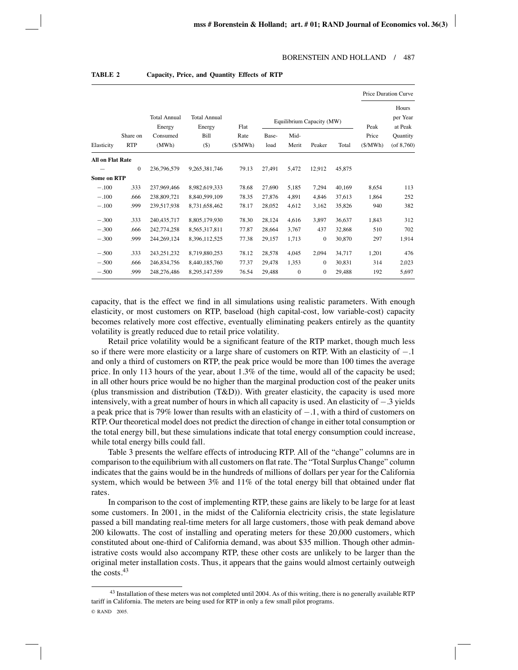|                         |              |                                           |                                       |              |        |                                   | Price Duration Curve |        |               |                                          |
|-------------------------|--------------|-------------------------------------------|---------------------------------------|--------------|--------|-----------------------------------|----------------------|--------|---------------|------------------------------------------|
|                         | Share on     | <b>Total Annual</b><br>Energy<br>Consumed | <b>Total Annual</b><br>Energy<br>Bill | Flat<br>Rate | Base-  | Equilibrium Capacity (MW)<br>Mid- |                      |        | Peak<br>Price | Hours<br>per Year<br>at Peak<br>Quantity |
| Elasticity              | <b>RTP</b>   | (MWh)                                     | $($ \$)                               | (S/MWh)      | load   | Merit                             | Peaker               | Total  | (S/MWh)       | $($ of 8,760 $)$                         |
| <b>All on Flat Rate</b> |              |                                           |                                       |              |        |                                   |                      |        |               |                                          |
|                         | $\mathbf{0}$ | 236,796,579                               | 9,265,381,746                         | 79.13        | 27,491 | 5,472                             | 12.912               | 45,875 |               |                                          |
| <b>Some on RTP</b>      |              |                                           |                                       |              |        |                                   |                      |        |               |                                          |
| $-.100$                 | .333         | 237,969,466                               | 8.982,619,333                         | 78.68        | 27,690 | 5,185                             | 7.294                | 40,169 | 8,654         | 113                                      |
| $-.100$                 | .666         | 238,809,721                               | 8,840,599,109                         | 78.35        | 27,876 | 4,891                             | 4.846                | 37,613 | 1.864         | 252                                      |
| $-.100$                 | .999         | 239,517,938                               | 8.731.658.462                         | 78.17        | 28,052 | 4,612                             | 3,162                | 35,826 | 940           | 382                                      |
| $-.300$                 | .333         | 240, 435, 717                             | 8,805,179,930                         | 78.30        | 28,124 | 4,616                             | 3,897                | 36,637 | 1,843         | 312                                      |
| $-.300$                 | .666         | 242,774,258                               | 8,565,317,811                         | 77.87        | 28,664 | 3,767                             | 437                  | 32,868 | 510           | 702                                      |
| $-.300$                 | .999         | 244.269.124                               | 8.396.112.525                         | 77.38        | 29.157 | 1,713                             | $\Omega$             | 30,870 | 297           | 1,914                                    |
| $-.500$                 | .333         | 243, 251, 232                             | 8,719,880,253                         | 78.12        | 28,578 | 4,045                             | 2,094                | 34,717 | 1,201         | 476                                      |
| $-.500$                 | .666         | 246,834,756                               | 8.440.185.760                         | 77.37        | 29,478 | 1,353                             | $\mathbf{0}$         | 30,831 | 314           | 2,023                                    |
| $-.500$                 | .999         | 248,276,486                               | 8,295,147,559                         | 76.54        | 29.488 | $\mathbf{0}$                      | $\mathbf{0}$         | 29.488 | 192           | 5,697                                    |

**TABLE 2 Capacity, Price, and Quantity Effects of RTP**

capacity, that is the effect we find in all simulations using realistic parameters. With enough elasticity, or most customers on RTP, baseload (high capital-cost, low variable-cost) capacity becomes relatively more cost effective, eventually eliminating peakers entirely as the quantity volatility is greatly reduced due to retail price volatility.

Retail price volatility would be a significant feature of the RTP market, though much less so if there were more elasticity or a large share of customers on RTP. With an elasticity of −.1 and only a third of customers on RTP, the peak price would be more than 100 times the average price. In only 113 hours of the year, about 1.3% of the time, would all of the capacity be used; in all other hours price would be no higher than the marginal production cost of the peaker units (plus transmission and distribution  $(T&D)$ ). With greater elasticity, the capacity is used more intensively, with a great number of hours in which all capacity is used. An elasticity of −.3 yields a peak price that is 79% lower than results with an elasticity of −.1, with a third of customers on RTP. Our theoretical model does not predict the direction of change in either total consumption or the total energy bill, but these simulations indicate that total energy consumption could increase, while total energy bills could fall.

Table 3 presents the welfare effects of introducing RTP. All of the "change" columns are in comparison to the equilibrium with all customers on flat rate. The "Total Surplus Change" column indicates that the gains would be in the hundreds of millions of dollars per year for the California system, which would be between 3% and 11% of the total energy bill that obtained under flat rates.

In comparison to the cost of implementing RTP, these gains are likely to be large for at least some customers. In 2001, in the midst of the California electricity crisis, the state legislature passed a bill mandating real-time meters for all large customers, those with peak demand above 200 kilowatts. The cost of installing and operating meters for these 20,000 customers, which constituted about one-third of California demand, was about \$35 million. Though other administrative costs would also accompany RTP, these other costs are unlikely to be larger than the original meter installation costs. Thus, it appears that the gains would almost certainly outweigh the costs.43

 $43$  Installation of these meters was not completed until 2004. As of this writing, there is no generally available RTP tariff in California. The meters are being used for RTP in only a few small pilot programs. © RAND 2005.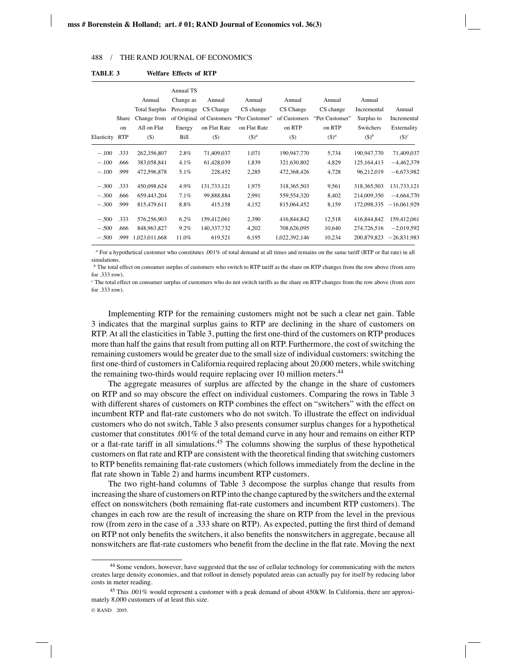|            |            |                      | Annual TS  |               |                                         |               |                |               |               |
|------------|------------|----------------------|------------|---------------|-----------------------------------------|---------------|----------------|---------------|---------------|
|            |            | Annual               | Change as  | Annual        | Annual                                  | Annual        | Annual         | Annual        |               |
|            |            | <b>Total Surplus</b> | Percentage | CS Change     | CS change                               | CS Change     | CS change      | Incremental   | Annual        |
|            | Share      | Change from          |            |               | of Original of Customers "Per Customer" | of Customers  | "Per Customer" | Surplus to    | Incremental   |
|            | on         | All on Flat          | Energy     | on Flat Rate  | on Flat Rate                            | on RTP        | on RTP         | Switchers     | Externality   |
| Elasticity | <b>RTP</b> | $($)$                | Bill       | $($ \$        | $($ )^a                                 | (5)           | $($ )^a        | $(5)^b$       | $($ )^c       |
| $-.100$    | .333       | 262,356,807          | $2.8\%$    | 71,409,037    | 1,071                                   | 190,947,770   | 5,734          | 190,947,770   | 71,409,037    |
| $-.100$    | .666       | 383,058,841          | $4.1\%$    | 61,428,039    | 1,839                                   | 321,630,802   | 4,829          | 125,164,413   | $-4,462,379$  |
| $-.100$    | .999       | 472,596,878          | 5.1%       | 228,452       | 2,285                                   | 472,368,426   | 4,728          | 96,212,019    | $-6,673,982$  |
| $-.300$    | .333       | 450,098,624          | 4.9%       | 131,733,121   | 1,975                                   | 318, 365, 503 | 9.561          | 318, 365, 503 | 131,733,121   |
| $-.300$    | .666       | 659,443,204          | 7.1%       | 99,888,884    | 2,991                                   | 559, 554, 320 | 8,402          | 214,009,350   | $-4,664,770$  |
| $-.300$    | .999       | 815,479,611          | 8.8%       | 415,158       | 4,152                                   | 815,064,452   | 8,159          | 172,098,335   | $-16,061,929$ |
| $-.500$    | .333       | 576.256.903          | $6.2\%$    | 159,412,061   | 2,390                                   | 416,844,842   | 12,518         | 416,844,842   | 159,412,061   |
| $-.500$    | .666       | 848,963,827          | $9.2\%$    | 140, 337, 732 | 4,202                                   | 708,626,095   | 10,640         | 274,726,516   | $-2,019,592$  |
| $-.500$    | .999       | 1,023,011,668        | 11.0%      | 619,521       | 6,195                                   | 1,022,392,146 | 10,234         | 200,879,823   | $-26,831,983$ |
|            |            |                      |            |               |                                         |               |                |               |               |

**TABLE 3 Welfare Effects of RTP**

*<sup>a</sup>* For a hypothetical customer who constitutes .001% of total demand at all times and remains on the same tariff (RTP or flat rate) in all simulations.

*b* The total effect on consumer surplus of customers who switch to RTP tariff as the share on RTP changes from the row above (from zero for  $333 \text{ row}$ .

*<sup>c</sup>* The total effect on consumer surplus of customers who do not switch tariffs as the share on RTP changes from the row above (from zero for .333 row).

Implementing RTP for the remaining customers might not be such a clear net gain. Table 3 indicates that the marginal surplus gains to RTP are declining in the share of customers on RTP. At all the elasticities in Table 3, putting the first one-third of the customers on RTP produces more than half the gains that result from putting all on RTP. Furthermore, the cost of switching the remaining customers would be greater due to the small size of individual customers: switching the first one-third of customers in California required replacing about 20,000 meters, while switching the remaining two-thirds would require replacing over 10 million meters.<sup>44</sup>

The aggregate measures of surplus are affected by the change in the share of customers on RTP and so may obscure the effect on individual customers. Comparing the rows in Table 3 with different shares of customers on RTP combines the effect on "switchers" with the effect on incumbent RTP and flat-rate customers who do not switch. To illustrate the effect on individual customers who do not switch, Table 3 also presents consumer surplus changes for a hypothetical customer that constitutes .001% of the total demand curve in any hour and remains on either RTP or a flat-rate tariff in all simulations.45 The columns showing the surplus of these hypothetical customers on flat rate and RTP are consistent with the theoretical finding that switching customers to RTP benefits remaining flat-rate customers (which follows immediately from the decline in the flat rate shown in Table 2) and harms incumbent RTP customers.

The two right-hand columns of Table 3 decompose the surplus change that results from increasing the share of customers on RTP into the change captured by the switchers and the external effect on nonswitchers (both remaining flat-rate customers and incumbent RTP customers). The changes in each row are the result of increasing the share on RTP from the level in the previous row (from zero in the case of a .333 share on RTP). As expected, putting the first third of demand on RTP not only benefits the switchers, it also benefits the nonswitchers in aggregate, because all nonswitchers are flat-rate customers who benefit from the decline in the flat rate. Moving the next

<sup>44</sup> Some vendors, however, have suggested that the use of cellular technology for communicating with the meters creates large density economies, and that rollout in densely populated areas can actually pay for itself by reducing labor costs in meter reading.

<sup>45</sup> This .001% would represent a customer with a peak demand of about 450kW. In California, there are approximately 8,000 customers of at least this size.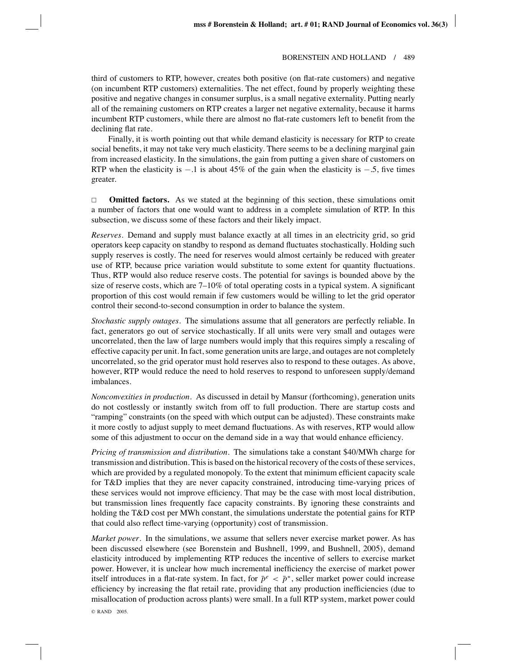third of customers to RTP, however, creates both positive (on flat-rate customers) and negative (on incumbent RTP customers) externalities. The net effect, found by properly weighting these positive and negative changes in consumer surplus, is a small negative externality. Putting nearly all of the remaining customers on RTP creates a larger net negative externality, because it harms incumbent RTP customers, while there are almost no flat-rate customers left to benefit from the declining flat rate.

Finally, it is worth pointing out that while demand elasticity is necessary for RTP to create social benefits, it may not take very much elasticity. There seems to be a declining marginal gain from increased elasticity. In the simulations, the gain from putting a given share of customers on RTP when the elasticity is  $-1$  is about 45% of the gain when the elasticity is  $-5$ , five times greater.

 $\Box$ **Omitted factors.** As we stated at the beginning of this section, these simulations omit a number of factors that one would want to address in a complete simulation of RTP. In this subsection, we discuss some of these factors and their likely impact.

*Reserves*. Demand and supply must balance exactly at all times in an electricity grid, so grid operators keep capacity on standby to respond as demand fluctuates stochastically. Holding such supply reserves is costly. The need for reserves would almost certainly be reduced with greater use of RTP, because price variation would substitute to some extent for quantity fluctuations. Thus, RTP would also reduce reserve costs. The potential for savings is bounded above by the size of reserve costs, which are  $7-10\%$  of total operating costs in a typical system. A significant proportion of this cost would remain if few customers would be willing to let the grid operator control their second-to-second consumption in order to balance the system.

*Stochastic supply outages*. The simulations assume that all generators are perfectly reliable. In fact, generators go out of service stochastically. If all units were very small and outages were uncorrelated, then the law of large numbers would imply that this requires simply a rescaling of effective capacity per unit. In fact, some generation units are large, and outages are not completely uncorrelated, so the grid operator must hold reserves also to respond to these outages. As above, however, RTP would reduce the need to hold reserves to respond to unforeseen supply/demand imbalances.

*Nonconvexities in production*. As discussed in detail by Mansur (forthcoming), generation units do not costlessly or instantly switch from off to full production. There are startup costs and "ramping" constraints (on the speed with which output can be adjusted). These constraints make it more costly to adjust supply to meet demand fluctuations. As with reserves, RTP would allow some of this adjustment to occur on the demand side in a way that would enhance efficiency.

*Pricing of transmission and distribution*. The simulations take a constant \$40/MWh charge for transmission and distribution. This is based on the historical recovery of the costs of these services, which are provided by a regulated monopoly. To the extent that minimum efficient capacity scale for T&D implies that they are never capacity constrained, introducing time-varying prices of these services would not improve efficiency. That may be the case with most local distribution, but transmission lines frequently face capacity constraints. By ignoring these constraints and holding the T&D cost per MWh constant, the simulations understate the potential gains for RTP that could also reflect time-varying (opportunity) cost of transmission.

*Market power*. In the simulations, we assume that sellers never exercise market power. As has been discussed elsewhere (see Borenstein and Bushnell, 1999, and Bushnell, 2005), demand elasticity introduced by implementing RTP reduces the incentive of sellers to exercise market power. However, it is unclear how much incremental inefficiency the exercise of market power itself introduces in a flat-rate system. In fact, for  $\bar{p}^e < \bar{p}^*$ , seller market power could increase efficiency by increasing the flat retail rate, providing that any production inefficiencies (due to misallocation of production across plants) were small. In a full RTP system, market power could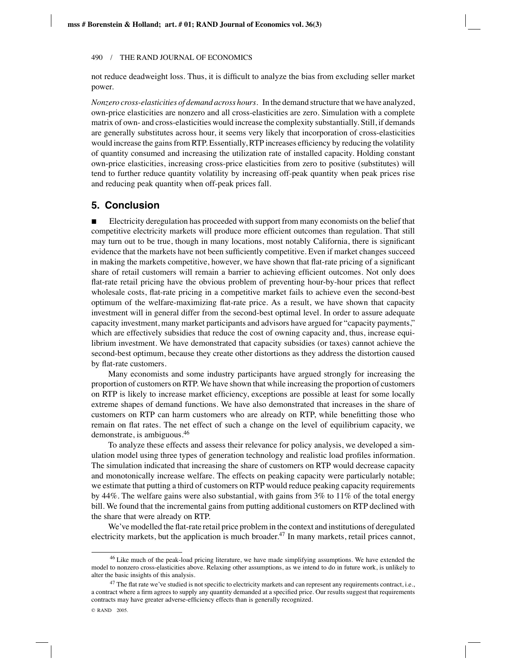not reduce deadweight loss. Thus, it is difficult to analyze the bias from excluding seller market power.

*Nonzero cross-elasticities of demand across hours*. In the demand structure that we have analyzed, own-price elasticities are nonzero and all cross-elasticities are zero. Simulation with a complete matrix of own- and cross-elasticities would increase the complexity substantially. Still, if demands are generally substitutes across hour, it seems very likely that incorporation of cross-elasticities would increase the gains from RTP. Essentially, RTP increases efficiency by reducing the volatility of quantity consumed and increasing the utilization rate of installed capacity. Holding constant own-price elasticities, increasing cross-price elasticities from zero to positive (substitutes) will tend to further reduce quantity volatility by increasing off-peak quantity when peak prices rise and reducing peak quantity when off-peak prices fall.

# **5. Conclusion**

 Electricity deregulation has proceeded with support from many economists on the belief that competitive electricity markets will produce more efficient outcomes than regulation. That still may turn out to be true, though in many locations, most notably California, there is significant evidence that the markets have not been sufficiently competitive. Even if market changes succeed in making the markets competitive, however, we have shown that flat-rate pricing of a significant share of retail customers will remain a barrier to achieving efficient outcomes. Not only does flat-rate retail pricing have the obvious problem of preventing hour-by-hour prices that reflect wholesale costs, flat-rate pricing in a competitive market fails to achieve even the second-best optimum of the welfare-maximizing flat-rate price. As a result, we have shown that capacity investment will in general differ from the second-best optimal level. In order to assure adequate capacity investment, many market participants and advisors have argued for "capacity payments," which are effectively subsidies that reduce the cost of owning capacity and, thus, increase equilibrium investment. We have demonstrated that capacity subsidies (or taxes) cannot achieve the second-best optimum, because they create other distortions as they address the distortion caused by flat-rate customers.

Many economists and some industry participants have argued strongly for increasing the proportion of customers on RTP. We have shown that while increasing the proportion of customers on RTP is likely to increase market efficiency, exceptions are possible at least for some locally extreme shapes of demand functions. We have also demonstrated that increases in the share of customers on RTP can harm customers who are already on RTP, while benefitting those who remain on flat rates. The net effect of such a change on the level of equilibrium capacity, we demonstrate, is ambiguous.46

To analyze these effects and assess their relevance for policy analysis, we developed a simulation model using three types of generation technology and realistic load profiles information. The simulation indicated that increasing the share of customers on RTP would decrease capacity and monotonically increase welfare. The effects on peaking capacity were particularly notable; we estimate that putting a third of customers on RTP would reduce peaking capacity requirements by 44%. The welfare gains were also substantial, with gains from 3% to 11% of the total energy bill. We found that the incremental gains from putting additional customers on RTP declined with the share that were already on RTP.

We've modelled the flat-rate retail price problem in the context and institutions of deregulated electricity markets, but the application is much broader.<sup>47</sup> In many markets, retail prices cannot,

<sup>&</sup>lt;sup>46</sup> Like much of the peak-load pricing literature, we have made simplifying assumptions. We have extended the model to nonzero cross-elasticities above. Relaxing other assumptions, as we intend to do in future work, is unlikely to alter the basic insights of this analysis.

<sup>&</sup>lt;sup>47</sup> The flat rate we've studied is not specific to electricity markets and can represent any requirements contract, i.e., a contract where a firm agrees to supply any quantity demanded at a specified price. Our results suggest that requirements contracts may have greater adverse-efficiency effects than is generally recognized.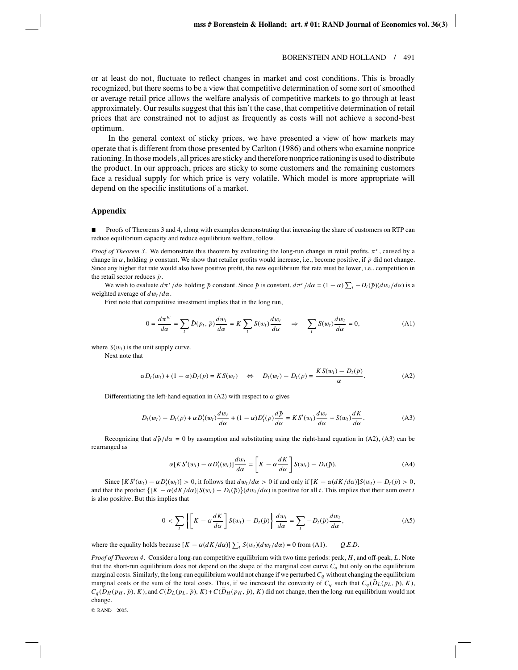or at least do not, fluctuate to reflect changes in market and cost conditions. This is broadly recognized, but there seems to be a view that competitive determination of some sort of smoothed or average retail price allows the welfare analysis of competitive markets to go through at least approximately. Our results suggest that this isn't the case, that competitive determination of retail prices that are constrained not to adjust as frequently as costs will not achieve a second-best optimum.

In the general context of sticky prices, we have presented a view of how markets may operate that is different from those presented by Carlton (1986) and others who examine nonprice rationing. In those models, all prices are sticky and therefore nonprice rationing is used to distribute the product. In our approach, prices are sticky to some customers and the remaining customers face a residual supply for which price is very volatile. Which model is more appropriate will depend on the specific institutions of a market.

### **Appendix**

**Proofs of Theorems 3 and 4, along with examples demonstrating that increasing the share of customers on RTP can** reduce equilibrium capacity and reduce equilibrium welfare, follow.

*Proof of Theorem 3.* We demonstrate this theorem by evaluating the long-run change in retail profits,  $\pi^r$ , caused by a change in  $\alpha$ , holding  $\bar{p}$  constant. We show that retailer profits would increase, i.e., become positive, if  $\bar{p}$  did not change. Since any higher flat rate would also have positive profit, the new equilibrium flat rate must be lower, i.e., competition in the retail sector reduces  $\bar{p}$ .

We wish to evaluate  $d\pi^r/d\alpha$  holding  $\bar{p}$  constant. Since  $\bar{p}$  is constant,  $d\pi^r/d\alpha = (1 - \alpha) \sum_t -D_t(\bar{p}) (dw_t/d\alpha)$  is a weighted average of *d*w*t* /*d*α.

First note that competitive investment implies that in the long run,

$$
0 = \frac{d\pi^w}{d\alpha} = \sum_t \tilde{D}(p_t, \bar{p}) \frac{dw_t}{d\alpha} = K \sum_t S(w_t) \frac{dw_t}{d\alpha} \quad \Rightarrow \quad \sum_t S(w_t) \frac{dw_t}{d\alpha} = 0,
$$
 (A1)

where  $S(w_t)$  is the unit supply curve.

Next note that

$$
\alpha D_t(w_t) + (1 - \alpha)D_t(\bar{p}) = KS(w_t) \quad \Leftrightarrow \quad D_t(w_t) - D_t(\bar{p}) = \frac{KS(w_t) - D_t(\bar{p})}{\alpha}.
$$

Differentiating the left-hand equation in (A2) with respect to  $\alpha$  gives

$$
D_t(w_t) - D_t(\bar{p}) + \alpha D'_t(w_t) \frac{dw_t}{d\alpha} + (1 - \alpha)D'_t(\bar{p}) \frac{d\bar{p}}{d\alpha} = K S'(w_t) \frac{dw_t}{d\alpha} + S(w_t) \frac{dK}{d\alpha}.
$$
 (A3)

Recognizing that  $d\bar{p}/d\alpha = 0$  by assumption and substituting using the right-hand equation in (A2), (A3) can be rearranged as

$$
\alpha [KS'(w_t) - \alpha D'_t(w_t)] \frac{dw_t}{d\alpha} = \left[K - \alpha \frac{dK}{d\alpha}\right] S(w_t) - D_t(\bar{p}).
$$
 (A4)

Since  $[K S'(w_t) - \alpha D'_t(w_t)] > 0$ , it follows that  $dw_t/d\alpha > 0$  if and only if  $[K - \alpha(dK/d\alpha)]S(w_t) - D_t(\bar{p}) > 0$ , and that the product  $\{[K - \alpha(dK/d\alpha)]S(w_t) - D_t(\bar{p})\}$  $(dw_t/d\alpha)$  is positive for all *t*. This implies that their sum over *t* is also positive. But this implies that

$$
0 < \sum_{t} \left\{ \left[ K - \alpha \frac{dK}{d\alpha} \right] S(w_t) - D_t(\bar{p}) \right\} \frac{dw_t}{d\alpha} = \sum_{t} -D_t(\bar{p}) \frac{dw_t}{d\alpha},\tag{A5}
$$

where the equality holds because  $[K - \alpha(dK/d\alpha)] \sum_{t} S(w_t)(dw_t/d\alpha) = 0$  from (A1). *Q.E.D.* 

*Proof of Theorem 4*. Consider a long-run competitive equilibrium with two time periods: peak, *H*, and off-peak, *L*. Note that the short-run equilibrium does not depend on the shape of the marginal cost curve  $C_q$  but only on the equilibrium marginal costs. Similarly, the long-run equilibrium would not change if we perturbed  $C_q$  without changing the equilibrium marginal costs or the sum of the total costs. Thus, if we increased the convexity of  $C_q$  such that  $C_q(\tilde{D}_L(p_L, \tilde{p}), K)$ ,  $C_q(\tilde{D}_H(p_H, \bar{p}), K)$ , and  $C(\tilde{D}_L(p_L, \bar{p}), K) + C(\tilde{D}_H(p_H, \bar{p}), K)$  did not change, then the long-run equilibrium would not change.

© RAND 2005.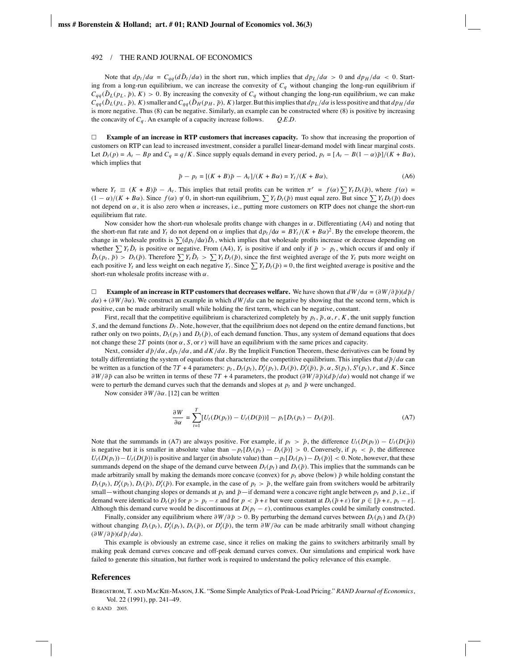#### 492 / THE RAND JOURNAL OF ECONOMICS

Note that  $d p_t / d\alpha = C_{qq} (d \tilde{D}_t / d\alpha)$  in the short run, which implies that  $d p_L / d\alpha > 0$  and  $d p_H / d\alpha < 0$ . Starting from a long-run equilibrium, we can increase the convexity of  $C_q$  without changing the long-run equilibrium if  $C_{qq}(\tilde{D}_L(p_L, \tilde{p}), K) > 0$ . By increasing the convexity of  $C_q$  without changing the long-run equilibrium, we can make  $C_{qq}(\tilde{D}_L(p_L, \bar{p}), K)$  smaller and  $C_{qq}(\tilde{D}_H(p_H, \bar{p}), K)$  larger. But this implies that  $dp_L/d\alpha$  is less positive and that  $dp_H/d\alpha$ is more negative. Thus (8) can be negative. Similarly, an example can be constructed where (8) is positive by increasing the concavity of  $C_q$ . An example of a capacity increase follows.  $Q.E.D.$ 

 $\Box$  **Example of an increase in RTP customers that increases capacity.** To show that increasing the proportion of customers on RTP can lead to increased investment, consider a parallel linear-demand model with linear marginal costs. Let  $D_t(p) = A_t - Bp$  and  $C_q = q/K$ . Since supply equals demand in every period,  $p_t = [A_t - B(1 - \alpha)\bar{p}]/(K + B\alpha)$ , which implies that

$$
\bar{p} - p_t = [(K + B)\bar{p} - A_t]/(K + B\alpha) = Y_t/(K + B\alpha),
$$
\n(A6)

where  $Y_t \equiv (K + B)\bar{p} - A_t$ . This implies that retail profits can be written  $\pi^r = f(\alpha) \sum Y_t D_t(\bar{p})$ , where  $f(\alpha) =$  $(1 - \alpha)/(K + B\alpha)$ . Since  $f(\alpha) \neq 0$ , in short-run equilibrium,  $\sum Y_t D_t(\bar{p})$  must equal zero. But since  $\sum Y_t D_t(\bar{p})$  does not depend on α, it is also zero when α increases, i.e., putting more customers on RTP does not change the short-run equilibrium flat rate.

Now consider how the short-run wholesale profits change with changes in  $\alpha$ . Differentiating (A4) and noting that the short-run flat rate and  $Y_t$  do not depend on  $\alpha$  implies that  $dp_t/d\alpha = BY_t/(K + B\alpha)^2$ . By the envelope theorem, the change in wholesale profits is  $\sum (dp_t/d\alpha)\tilde{D}_t$ , which implies that wholesale profits increase or decrease depending on whether  $\sum Y_t \tilde{D}_t$  is positive or negative. From (A4),  $Y_t$  is positive if and only if  $\bar{p} > p_t$ , which occurs if and only if  $\tilde{D}_t(p_t, \bar{p}) > D_t(\bar{p})$ . Therefore  $\sum Y_t \tilde{D}_t > \sum Y_t D_t(\bar{p})$ , since the first weighted average of the  $Y_t$  puts more weight on each positive  $Y_t$  and less weight on each negative  $Y_t$ . Since  $\sum Y_t D_t(\bar{p}) = 0$ , the first weighted average is positive and the short-run wholesale profits increase with  $\alpha$ .

 $\Box$ **Example of an increase in RTP customers that decreases welfare.** We have shown that  $dW/d\alpha = (\partial W/\partial \bar{p})(d\bar{p}/d\bar{p})$  $d\alpha$ ) + ( $\partial W/\partial \alpha$ ). We construct an example in which  $dW/d\alpha$  can be negative by showing that the second term, which is positive, can be made arbitrarily small while holding the first term, which can be negative, constant.

First, recall that the competitive equilibrium is characterized completely by  $p_t$ ,  $\bar{p}$ ,  $\alpha$ ,  $r$ ,  $K$ , the unit supply function *S*, and the demand functions  $D_t$ . Note, however, that the equilibrium does not depend on the entire demand functions, but rather only on two points,  $D_t(p_t)$  and  $D_t(\bar{p})$ , of each demand function. Thus, any system of demand equations that does not change these 2*T* points (nor  $\alpha$ , *S*, or *r*) will have an equilibrium with the same prices and capacity.

Next, consider  $d\bar{p}/d\alpha$ ,  $dp_t/d\alpha$ , and  $dK/d\alpha$ . By the Implicit Function Theorem, these derivatives can be found by totally differentiating the system of equations that characterize the competitive equilibrium. This implies that  $d\bar{p}/d\alpha$  can be written as a function of the 7T + 4 parameters:  $p_t$ ,  $D_t(p_t)$ ,  $D'_t(p_t)$ ,  $D_t(\bar{p})$ ,  $D'_t(\bar{p})$ ,  $\bar{p}$ ,  $\alpha$ ,  $S(p_t)$ ,  $S'(p_t)$ ,  $r$ , and K. Since ∂*W*/∂ $\bar{p}$  can also be written in terms of these 7*T* + 4 parameters, the product (∂*W*/∂ $\bar{p}$ )(*d* $\bar{p}$ /*dα*) would not change if we were to perturb the demand curves such that the demands and slopes at  $p_t$  and  $\bar{p}$  were unchanged.

Now consider ∂*W*/∂α. [12] can be written

$$
\frac{\partial W}{\partial \alpha} = \sum_{t=1}^{T} [U_t(D(p_t)) - U_t(D(\bar{p}))] - p_t[D_t(p_t) - D_t(\bar{p})]. \tag{A7}
$$

Note that the summands in (A7) are always positive. For example, if  $p_t > \bar{p}$ , the difference  $U_t(D(p_t)) - U_t(D(\bar{p}))$ is negative but it is smaller in absolute value than  $-p_t[D_t(p_t) - D_t(\bar{p})] > 0$ . Conversely, if  $p_t < \bar{p}$ , the difference  $U_t(D(p_t)) - U_t(D(\bar{p}))$  is positive and larger (in absolute value) than  $-p_t[D_t(p_t) - D_t(\bar{p})] < 0$ . Note, however, that these summands depend on the shape of the demand curve between  $D_t(p_t)$  and  $D_t(\bar{p})$ . This implies that the summands can be made arbitrarily small by making the demands more concave (convex) for  $p_t$  above (below)  $\bar{p}$  while holding constant the  $D_t(p_t)$ ,  $D'_t(p_t)$ ,  $D_t(\bar{p})$ ,  $D'_t(\bar{p})$ . For example, in the case of  $p_t > \bar{p}$ , the welfare gain from switchers would be arbitrarily small—without changing slopes or demands at  $p_t$  and  $\bar{p}$ —if demand were a concave right angle between  $p_t$  and  $\bar{p}$ , i.e., if demand were identical to  $D_t(p)$  for  $p > p_t - \varepsilon$  and for  $p < \bar{p} + \varepsilon$  but were constant at  $D_t(\bar{p} + \varepsilon)$  for  $p \in [\bar{p} + \varepsilon, p_t - \varepsilon]$ . Although this demand curve would be discontinuous at  $D(p_t - \varepsilon)$ , continuous examples could be similarly constructed.

Finally, consider any equilibrium where  $\partial W/\partial \bar{p} > 0$ . By perturbing the demand curves between  $D_t(p_t)$  and  $D_t(\bar{p})$ without changing  $D_t(p_t)$ ,  $D'_t(p_t)$ ,  $D_t(\bar{p})$ , or  $D'_t(\bar{p})$ , the term  $\partial W/\partial \alpha$  can be made arbitrarily small without changing  $(\partial W/\partial \bar{p})(d\bar{p}/d\alpha)$ .

This example is obviously an extreme case, since it relies on making the gains to switchers arbitrarily small by making peak demand curves concave and off-peak demand curves convex. Our simulations and empirical work have failed to generate this situation, but further work is required to understand the policy relevance of this example.

#### **References**

Bergstrom, T. and MacKie-Mason, J.K. "Some Simple Analytics of Peak-Load Pricing." *RAND Journal of Economics*, Vol. 22 (1991), pp. 241–49.